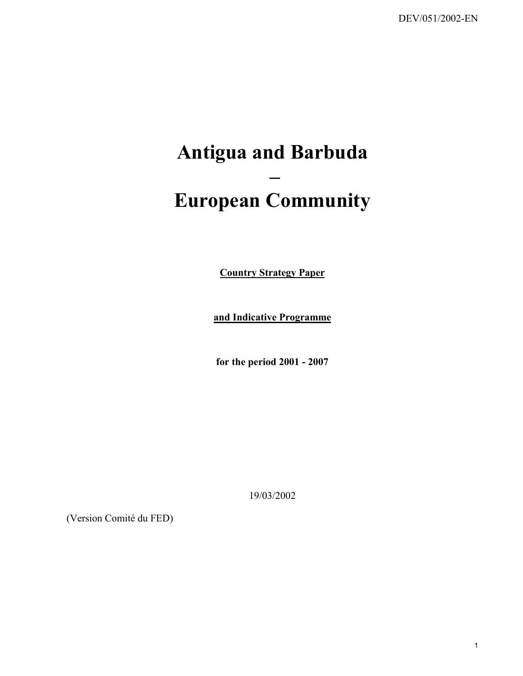# **Antigua and Barbuda – European Community**

**Country Strategy Paper**

**and Indicative Programme**

**for the period 2001 - 2007**

19/03/2002

(Version Comité du FED)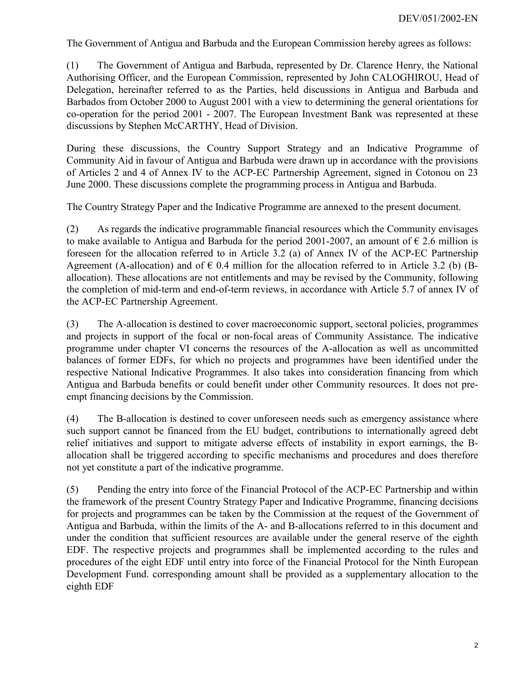The Government of Antigua and Barbuda and the European Commission hereby agrees as follows:

(1) The Government of Antigua and Barbuda, represented by Dr. Clarence Henry, the National Authorising Officer, and the European Commission, represented by John CALOGHIROU, Head of Delegation, hereinafter referred to as the Parties, held discussions in Antigua and Barbuda and Barbados from October 2000 to August 2001 with a view to determining the general orientations for co-operation for the period 2001 - 2007. The European Investment Bank was represented at these discussions by Stephen McCARTHY, Head of Division.

During these discussions, the Country Support Strategy and an Indicative Programme of Community Aid in favour of Antigua and Barbuda were drawn up in accordance with the provisions of Articles 2 and 4 of Annex IV to the ACP-EC Partnership Agreement, signed in Cotonou on 23 June 2000. These discussions complete the programming process in Antigua and Barbuda.

The Country Strategy Paper and the Indicative Programme are annexed to the present document.

(2) As regards the indicative programmable financial resources which the Community envisages to make available to Antigua and Barbuda for the period 2001-2007, an amount of  $\epsilon$  2.6 million is foreseen for the allocation referred to in Article 3.2 (a) of Annex IV of the ACP-EC Partnership Agreement (A-allocation) and of  $\epsilon$  0.4 million for the allocation referred to in Article 3.2 (b) (Ballocation). These allocations are not entitlements and may be revised by the Community, following the completion of mid-term and end-of-term reviews, in accordance with Article 5.7 of annex IV of the ACP-EC Partnership Agreement.

(3) The A-allocation is destined to cover macroeconomic support, sectoral policies, programmes and projects in support of the focal or non-focal areas of Community Assistance. The indicative programme under chapter VI concerns the resources of the A-allocation as well as uncommitted balances of former EDFs, for which no projects and programmes have been identified under the respective National Indicative Programmes. It also takes into consideration financing from which Antigua and Barbuda benefits or could benefit under other Community resources. It does not preempt financing decisions by the Commission.

(4) The B-allocation is destined to cover unforeseen needs such as emergency assistance where such support cannot be financed from the EU budget, contributions to internationally agreed debt relief initiatives and support to mitigate adverse effects of instability in export earnings, the Ballocation shall be triggered according to specific mechanisms and procedures and does therefore not yet constitute a part of the indicative programme.

(5) Pending the entry into force of the Financial Protocol of the ACP-EC Partnership and within the framework of the present Country Strategy Paper and Indicative Programme, financing decisions for projects and programmes can be taken by the Commission at the request of the Government of Antigua and Barbuda, within the limits of the A- and B-allocations referred to in this document and under the condition that sufficient resources are available under the general reserve of the eighth EDF. The respective projects and programmes shall be implemented according to the rules and procedures of the eight EDF until entry into force of the Financial Protocol for the Ninth European Development Fund. corresponding amount shall be provided as a supplementary allocation to the eighth EDF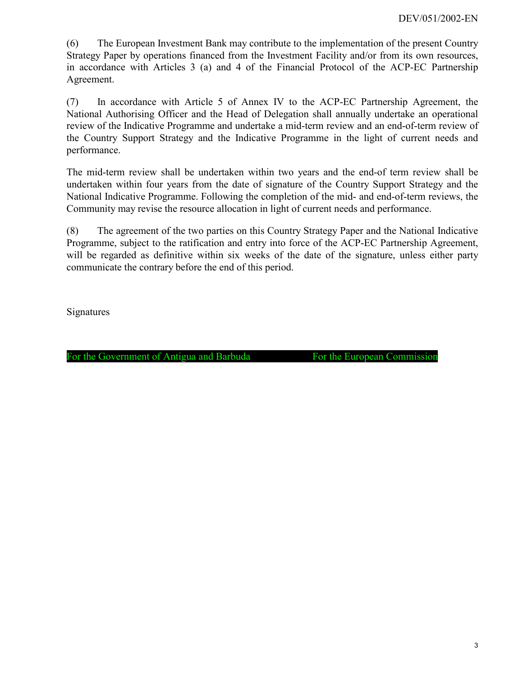(6) The European Investment Bank may contribute to the implementation of the present Country Strategy Paper by operations financed from the Investment Facility and/or from its own resources, in accordance with Articles 3 (a) and 4 of the Financial Protocol of the ACP-EC Partnership Agreement.

(7) In accordance with Article 5 of Annex IV to the ACP-EC Partnership Agreement, the National Authorising Officer and the Head of Delegation shall annually undertake an operational review of the Indicative Programme and undertake a mid-term review and an end-of-term review of the Country Support Strategy and the Indicative Programme in the light of current needs and performance.

The mid-term review shall be undertaken within two years and the end-of term review shall be undertaken within four years from the date of signature of the Country Support Strategy and the National Indicative Programme. Following the completion of the mid- and end-of-term reviews, the Community may revise the resource allocation in light of current needs and performance.

(8) The agreement of the two parties on this Country Strategy Paper and the National Indicative Programme, subject to the ratification and entry into force of the ACP-EC Partnership Agreement, will be regarded as definitive within six weeks of the date of the signature, unless either party communicate the contrary before the end of this period.

**Signatures** 

For the Government of Antigua and Barbuda For the European Commission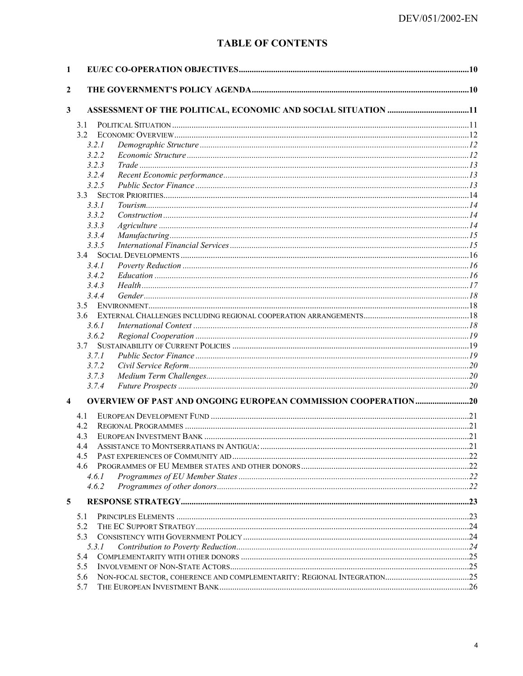# **TABLE OF CONTENTS**

| $\mathbf{1}$            |       |                                                                       |  |
|-------------------------|-------|-----------------------------------------------------------------------|--|
| 2                       |       |                                                                       |  |
| $\mathbf{3}$            |       |                                                                       |  |
|                         | 3.1   |                                                                       |  |
|                         | 3.2   |                                                                       |  |
|                         | 3.2.1 |                                                                       |  |
|                         | 3.2.2 |                                                                       |  |
|                         | 3.2.3 |                                                                       |  |
|                         | 3.2.4 |                                                                       |  |
|                         | 3.2.5 |                                                                       |  |
|                         |       |                                                                       |  |
|                         | 3.3.1 |                                                                       |  |
|                         | 3.3.2 |                                                                       |  |
|                         | 3.3.3 |                                                                       |  |
|                         | 3.3.4 |                                                                       |  |
|                         | 3.3.5 |                                                                       |  |
|                         |       |                                                                       |  |
|                         | 3.4.1 |                                                                       |  |
|                         | 3.4.2 |                                                                       |  |
|                         | 3.4.3 |                                                                       |  |
|                         | 3.4.4 |                                                                       |  |
|                         |       |                                                                       |  |
|                         |       |                                                                       |  |
|                         | 3.6.1 |                                                                       |  |
|                         | 3.6.2 |                                                                       |  |
|                         | 3.7   |                                                                       |  |
|                         | 3.7.1 |                                                                       |  |
|                         | 3.7.2 |                                                                       |  |
|                         | 3.7.3 |                                                                       |  |
|                         | 3.7.4 |                                                                       |  |
| $\overline{\mathbf{4}}$ |       | <b>OVERVIEW OF PAST AND ONGOING EUROPEAN COMMISSION COOPERATION20</b> |  |
|                         | 4.1   |                                                                       |  |
|                         | 4.2   |                                                                       |  |
|                         | 4.3   |                                                                       |  |
|                         | 44    |                                                                       |  |
|                         | 4.5   |                                                                       |  |
|                         |       |                                                                       |  |
|                         | 4.6.1 |                                                                       |  |
|                         | 4.6.2 |                                                                       |  |
| 5                       |       |                                                                       |  |
|                         | 5.1   |                                                                       |  |
|                         | 5.2   |                                                                       |  |
|                         | 5.3   |                                                                       |  |
|                         | 5.3.1 |                                                                       |  |
|                         | 5.4   |                                                                       |  |
|                         | 5.5   |                                                                       |  |
|                         | 5.6   |                                                                       |  |
|                         | 5.7   |                                                                       |  |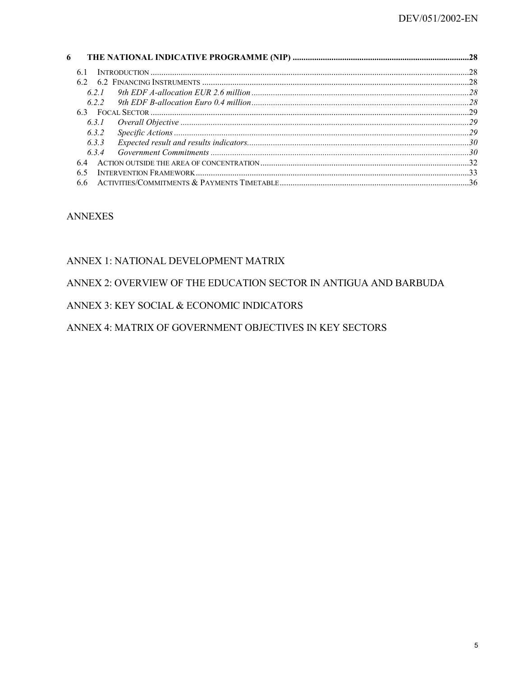| 6 |       |  |
|---|-------|--|
|   | 61    |  |
|   |       |  |
|   | 621   |  |
|   | 622   |  |
|   |       |  |
|   | 631   |  |
|   | 6.3.2 |  |
|   | 6.3.3 |  |
|   | 634   |  |
|   | 64    |  |
|   | 65    |  |
|   |       |  |

#### **ANNEXES**

#### ANNEX 1: NATIONAL DEVELOPMENT MATRIX

#### ANNEX 2: OVERVIEW OF THE EDUCATION SECTOR IN ANTIGUA AND BARBUDA

#### ANNEX 3: KEY SOCIAL & ECONOMIC INDICATORS

#### ANNEX 4: MATRIX OF GOVERNMENT OBJECTIVES IN KEY SECTORS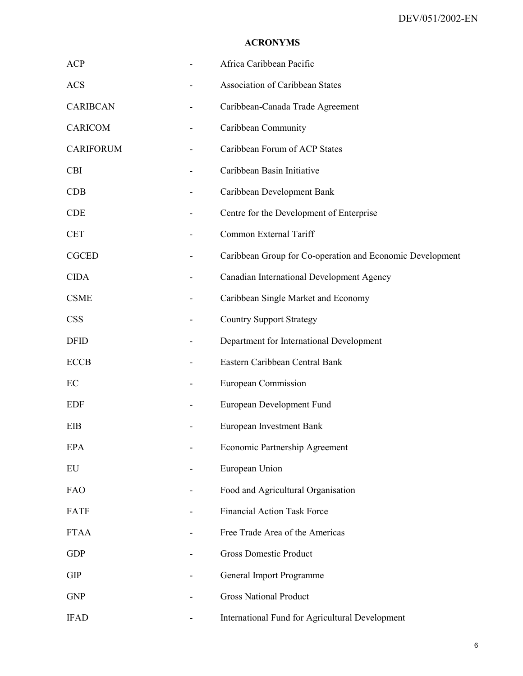#### **ACRONYMS**

| <b>ACP</b>       | Africa Caribbean Pacific                                  |
|------------------|-----------------------------------------------------------|
| <b>ACS</b>       | <b>Association of Caribbean States</b>                    |
| <b>CARIBCAN</b>  | Caribbean-Canada Trade Agreement                          |
| <b>CARICOM</b>   | Caribbean Community                                       |
| <b>CARIFORUM</b> | Caribbean Forum of ACP States                             |
| <b>CBI</b>       | Caribbean Basin Initiative                                |
| <b>CDB</b>       | Caribbean Development Bank                                |
| <b>CDE</b>       | Centre for the Development of Enterprise                  |
| <b>CET</b>       | Common External Tariff                                    |
| <b>CGCED</b>     | Caribbean Group for Co-operation and Economic Development |
| <b>CIDA</b>      | Canadian International Development Agency                 |
| <b>CSME</b>      | Caribbean Single Market and Economy                       |
| <b>CSS</b>       | <b>Country Support Strategy</b>                           |
| <b>DFID</b>      | Department for International Development                  |
| <b>ECCB</b>      | Eastern Caribbean Central Bank                            |
| EC               | <b>European Commission</b>                                |
| <b>EDF</b>       | European Development Fund                                 |
| EIB              | European Investment Bank                                  |
| <b>EPA</b>       | Economic Partnership Agreement                            |
| EU               | European Union                                            |
| FAO              | Food and Agricultural Organisation                        |
| <b>FATF</b>      | <b>Financial Action Task Force</b>                        |
| <b>FTAA</b>      | Free Trade Area of the Americas                           |
| <b>GDP</b>       | <b>Gross Domestic Product</b>                             |
| <b>GIP</b>       | General Import Programme                                  |
| <b>GNP</b>       | <b>Gross National Product</b>                             |
| <b>IFAD</b>      | International Fund for Agricultural Development           |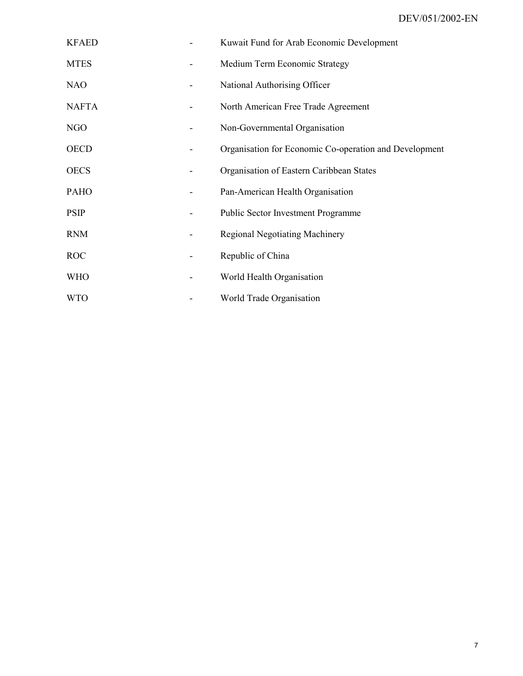| <b>KFAED</b> |                          | Kuwait Fund for Arab Economic Development              |
|--------------|--------------------------|--------------------------------------------------------|
| <b>MTES</b>  |                          | Medium Term Economic Strategy                          |
| <b>NAO</b>   | $\overline{\phantom{a}}$ | National Authorising Officer                           |
| <b>NAFTA</b> |                          | North American Free Trade Agreement                    |
| NGO          |                          | Non-Governmental Organisation                          |
| <b>OECD</b>  |                          | Organisation for Economic Co-operation and Development |
| <b>OECS</b>  |                          | Organisation of Eastern Caribbean States               |
| <b>PAHO</b>  |                          | Pan-American Health Organisation                       |
| <b>PSIP</b>  |                          | <b>Public Sector Investment Programme</b>              |
| <b>RNM</b>   |                          | <b>Regional Negotiating Machinery</b>                  |
| <b>ROC</b>   |                          | Republic of China                                      |
| <b>WHO</b>   |                          | World Health Organisation                              |
| <b>WTO</b>   |                          | World Trade Organisation                               |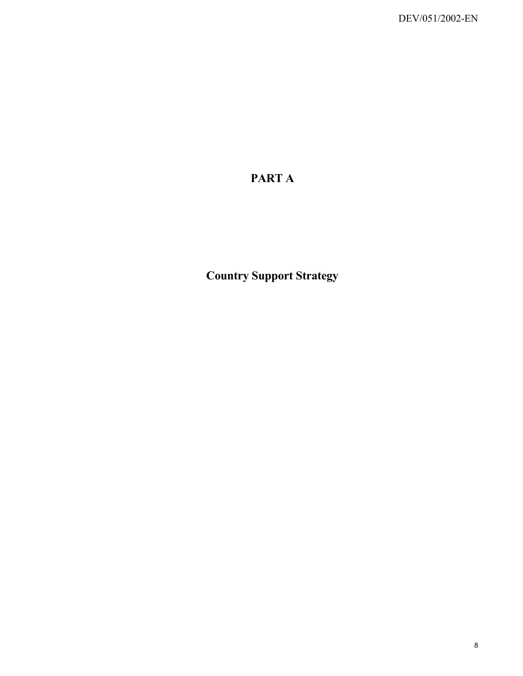# **PART A**

**Country Support Strategy**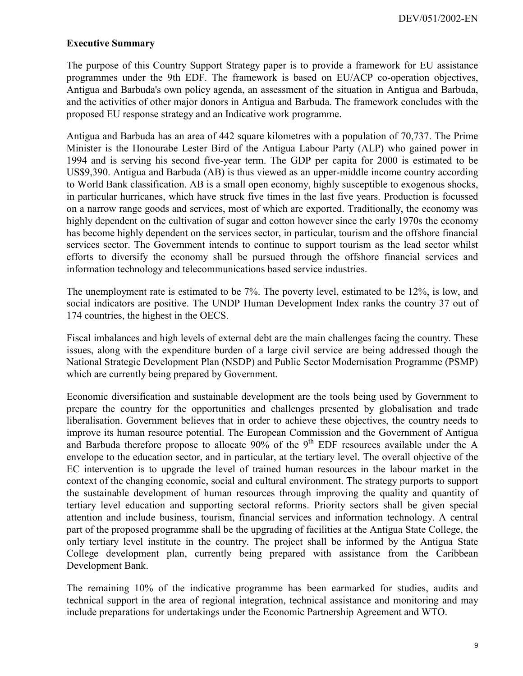#### **Executive Summary**

The purpose of this Country Support Strategy paper is to provide a framework for EU assistance programmes under the 9th EDF. The framework is based on EU/ACP co-operation objectives, Antigua and Barbuda's own policy agenda, an assessment of the situation in Antigua and Barbuda, and the activities of other major donors in Antigua and Barbuda. The framework concludes with the proposed EU response strategy and an Indicative work programme.

Antigua and Barbuda has an area of 442 square kilometres with a population of 70,737. The Prime Minister is the Honourabe Lester Bird of the Antigua Labour Party (ALP) who gained power in 1994 and is serving his second five-year term. The GDP per capita for 2000 is estimated to be US\$9,390. Antigua and Barbuda (AB) is thus viewed as an upper-middle income country according to World Bank classification. AB is a small open economy, highly susceptible to exogenous shocks, in particular hurricanes, which have struck five times in the last five years. Production is focussed on a narrow range goods and services, most of which are exported. Traditionally, the economy was highly dependent on the cultivation of sugar and cotton however since the early 1970s the economy has become highly dependent on the services sector, in particular, tourism and the offshore financial services sector. The Government intends to continue to support tourism as the lead sector whilst efforts to diversify the economy shall be pursued through the offshore financial services and information technology and telecommunications based service industries.

The unemployment rate is estimated to be 7%. The poverty level, estimated to be 12%, is low, and social indicators are positive. The UNDP Human Development Index ranks the country 37 out of 174 countries, the highest in the OECS.

Fiscal imbalances and high levels of external debt are the main challenges facing the country. These issues, along with the expenditure burden of a large civil service are being addressed though the National Strategic Development Plan (NSDP) and Public Sector Modernisation Programme (PSMP) which are currently being prepared by Government.

Economic diversification and sustainable development are the tools being used by Government to prepare the country for the opportunities and challenges presented by globalisation and trade liberalisation. Government believes that in order to achieve these objectives, the country needs to improve its human resource potential. The European Commission and the Government of Antigua and Barbuda therefore propose to allocate  $90\%$  of the 9<sup>th</sup> EDF resources available under the A envelope to the education sector, and in particular, at the tertiary level. The overall objective of the EC intervention is to upgrade the level of trained human resources in the labour market in the context of the changing economic, social and cultural environment. The strategy purports to support the sustainable development of human resources through improving the quality and quantity of tertiary level education and supporting sectoral reforms. Priority sectors shall be given special attention and include business, tourism, financial services and information technology. A central part of the proposed programme shall be the upgrading of facilities at the Antigua State College, the only tertiary level institute in the country. The project shall be informed by the Antigua State College development plan, currently being prepared with assistance from the Caribbean Development Bank.

The remaining 10% of the indicative programme has been earmarked for studies, audits and technical support in the area of regional integration, technical assistance and monitoring and may include preparations for undertakings under the Economic Partnership Agreement and WTO.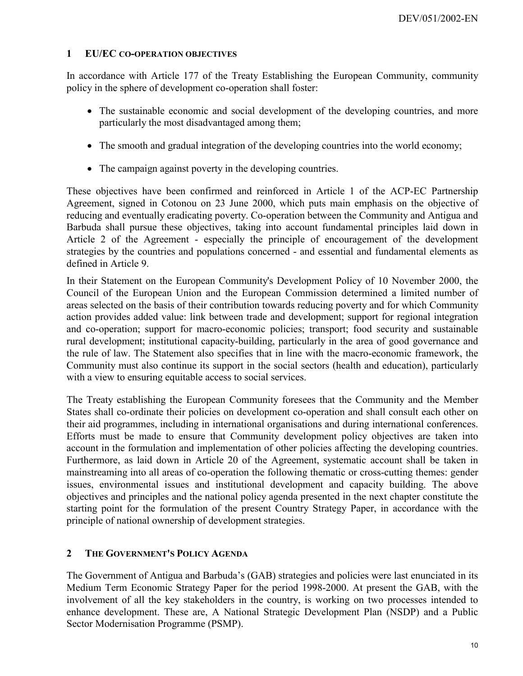#### <span id="page-9-0"></span>**1 EU/EC CO-OPERATION OBJECTIVES**

In accordance with Article 177 of the Treaty Establishing the European Community, community policy in the sphere of development co-operation shall foster:

- The sustainable economic and social development of the developing countries, and more particularly the most disadvantaged among them;
- The smooth and gradual integration of the developing countries into the world economy;
- The campaign against poverty in the developing countries.

These objectives have been confirmed and reinforced in Article 1 of the ACP-EC Partnership Agreement, signed in Cotonou on 23 June 2000, which puts main emphasis on the objective of reducing and eventually eradicating poverty. Co-operation between the Community and Antigua and Barbuda shall pursue these objectives, taking into account fundamental principles laid down in Article 2 of the Agreement - especially the principle of encouragement of the development strategies by the countries and populations concerned - and essential and fundamental elements as defined in Article 9.

In their Statement on the European Community's Development Policy of 10 November 2000, the Council of the European Union and the European Commission determined a limited number of areas selected on the basis of their contribution towards reducing poverty and for which Community action provides added value: link between trade and development; support for regional integration and co-operation; support for macro-economic policies; transport; food security and sustainable rural development; institutional capacity-building, particularly in the area of good governance and the rule of law. The Statement also specifies that in line with the macro-economic framework, the Community must also continue its support in the social sectors (health and education), particularly with a view to ensuring equitable access to social services.

The Treaty establishing the European Community foresees that the Community and the Member States shall co-ordinate their policies on development co-operation and shall consult each other on their aid programmes, including in international organisations and during international conferences. Efforts must be made to ensure that Community development policy objectives are taken into account in the formulation and implementation of other policies affecting the developing countries. Furthermore, as laid down in Article 20 of the Agreement, systematic account shall be taken in mainstreaming into all areas of co-operation the following thematic or cross-cutting themes: gender issues, environmental issues and institutional development and capacity building. The above objectives and principles and the national policy agenda presented in the next chapter constitute the starting point for the formulation of the present Country Strategy Paper, in accordance with the principle of national ownership of development strategies.

#### <span id="page-9-1"></span>**2 THE GOVERNMENT'S POLICY AGENDA**

The Government of Antigua and Barbuda's (GAB) strategies and policies were last enunciated in its Medium Term Economic Strategy Paper for the period 1998-2000. At present the GAB, with the involvement of all the key stakeholders in the country, is working on two processes intended to enhance development. These are, A National Strategic Development Plan (NSDP) and a Public Sector Modernisation Programme (PSMP).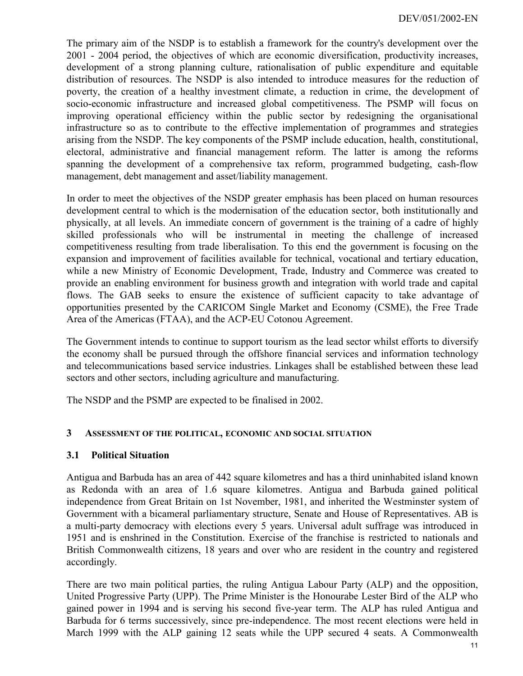The primary aim of the NSDP is to establish a framework for the country's development over the 2001 - 2004 period, the objectives of which are economic diversification, productivity increases, development of a strong planning culture, rationalisation of public expenditure and equitable distribution of resources. The NSDP is also intended to introduce measures for the reduction of poverty, the creation of a healthy investment climate, a reduction in crime, the development of socio-economic infrastructure and increased global competitiveness. The PSMP will focus on improving operational efficiency within the public sector by redesigning the organisational infrastructure so as to contribute to the effective implementation of programmes and strategies arising from the NSDP. The key components of the PSMP include education, health, constitutional, electoral, administrative and financial management reform. The latter is among the reforms spanning the development of a comprehensive tax reform, programmed budgeting, cash-flow management, debt management and asset/liability management.

In order to meet the objectives of the NSDP greater emphasis has been placed on human resources development central to which is the modernisation of the education sector, both institutionally and physically, at all levels. An immediate concern of government is the training of a cadre of highly skilled professionals who will be instrumental in meeting the challenge of increased competitiveness resulting from trade liberalisation. To this end the government is focusing on the expansion and improvement of facilities available for technical, vocational and tertiary education, while a new Ministry of Economic Development, Trade, Industry and Commerce was created to provide an enabling environment for business growth and integration with world trade and capital flows. The GAB seeks to ensure the existence of sufficient capacity to take advantage of opportunities presented by the CARICOM Single Market and Economy (CSME), the Free Trade Area of the Americas (FTAA), and the ACP-EU Cotonou Agreement.

The Government intends to continue to support tourism as the lead sector whilst efforts to diversify the economy shall be pursued through the offshore financial services and information technology and telecommunications based service industries. Linkages shall be established between these lead sectors and other sectors, including agriculture and manufacturing.

The NSDP and the PSMP are expected to be finalised in 2002.

#### <span id="page-10-0"></span>**3 ASSESSMENT OF THE POLITICAL, ECONOMIC AND SOCIAL SITUATION**

#### <span id="page-10-1"></span>**3.1 Political Situation**

Antigua and Barbuda has an area of 442 square kilometres and has a third uninhabited island known as Redonda with an area of 1.6 square kilometres. Antigua and Barbuda gained political independence from Great Britain on 1st November, 1981, and inherited the Westminster system of Government with a bicameral parliamentary structure, Senate and House of Representatives. AB is a multi-party democracy with elections every 5 years. Universal adult suffrage was introduced in 1951 and is enshrined in the Constitution. Exercise of the franchise is restricted to nationals and British Commonwealth citizens, 18 years and over who are resident in the country and registered accordingly.

There are two main political parties, the ruling Antigua Labour Party (ALP) and the opposition, United Progressive Party (UPP). The Prime Minister is the Honourabe Lester Bird of the ALP who gained power in 1994 and is serving his second five-year term. The ALP has ruled Antigua and Barbuda for 6 terms successively, since pre-independence. The most recent elections were held in March 1999 with the ALP gaining 12 seats while the UPP secured 4 seats. A Commonwealth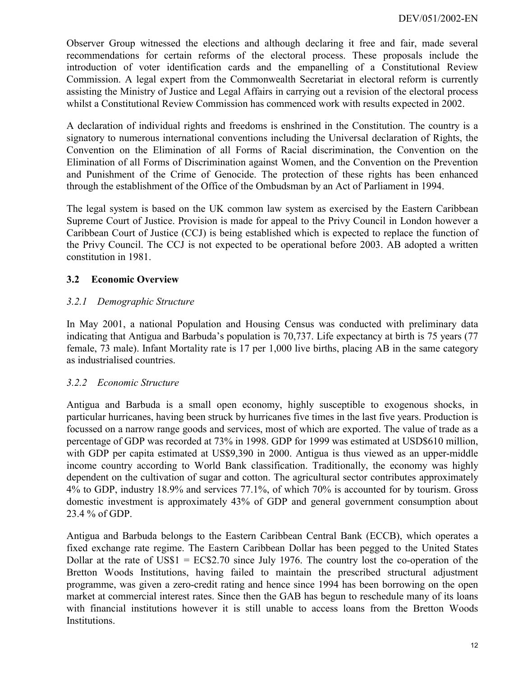Observer Group witnessed the elections and although declaring it free and fair, made several recommendations for certain reforms of the electoral process. These proposals include the introduction of voter identification cards and the empanelling of a Constitutional Review Commission. A legal expert from the Commonwealth Secretariat in electoral reform is currently assisting the Ministry of Justice and Legal Affairs in carrying out a revision of the electoral process whilst a Constitutional Review Commission has commenced work with results expected in 2002.

A declaration of individual rights and freedoms is enshrined in the Constitution. The country is a signatory to numerous international conventions including the Universal declaration of Rights, the Convention on the Elimination of all Forms of Racial discrimination, the Convention on the Elimination of all Forms of Discrimination against Women, and the Convention on the Prevention and Punishment of the Crime of Genocide. The protection of these rights has been enhanced through the establishment of the Office of the Ombudsman by an Act of Parliament in 1994.

The legal system is based on the UK common law system as exercised by the Eastern Caribbean Supreme Court of Justice. Provision is made for appeal to the Privy Council in London however a Caribbean Court of Justice (CCJ) is being established which is expected to replace the function of the Privy Council. The CCJ is not expected to be operational before 2003. AB adopted a written constitution in 1981.

# <span id="page-11-0"></span>**3.2 Economic Overview**

# <span id="page-11-1"></span>*3.2.1 Demographic Structure*

In May 2001, a national Population and Housing Census was conducted with preliminary data indicating that Antigua and Barbuda's population is 70,737. Life expectancy at birth is 75 years (77 female, 73 male). Infant Mortality rate is 17 per 1,000 live births, placing AB in the same category as industrialised countries.

#### <span id="page-11-2"></span>*3.2.2 Economic Structure*

Antigua and Barbuda is a small open economy, highly susceptible to exogenous shocks, in particular hurricanes, having been struck by hurricanes five times in the last five years. Production is focussed on a narrow range goods and services, most of which are exported. The value of trade as a percentage of GDP was recorded at 73% in 1998. GDP for 1999 was estimated at USD\$610 million, with GDP per capita estimated at US\$9,390 in 2000. Antigua is thus viewed as an upper-middle income country according to World Bank classification. Traditionally, the economy was highly dependent on the cultivation of sugar and cotton. The agricultural sector contributes approximately 4% to GDP, industry 18.9% and services 77.1%, of which 70% is accounted for by tourism. Gross domestic investment is approximately 43% of GDP and general government consumption about 23.4 % of GDP.

Antigua and Barbuda belongs to the Eastern Caribbean Central Bank (ECCB), which operates a fixed exchange rate regime. The Eastern Caribbean Dollar has been pegged to the United States Dollar at the rate of US\$1 =  $EC$2.70$  since July 1976. The country lost the co-operation of the Bretton Woods Institutions, having failed to maintain the prescribed structural adjustment programme, was given a zero-credit rating and hence since 1994 has been borrowing on the open market at commercial interest rates. Since then the GAB has begun to reschedule many of its loans with financial institutions however it is still unable to access loans from the Bretton Woods Institutions.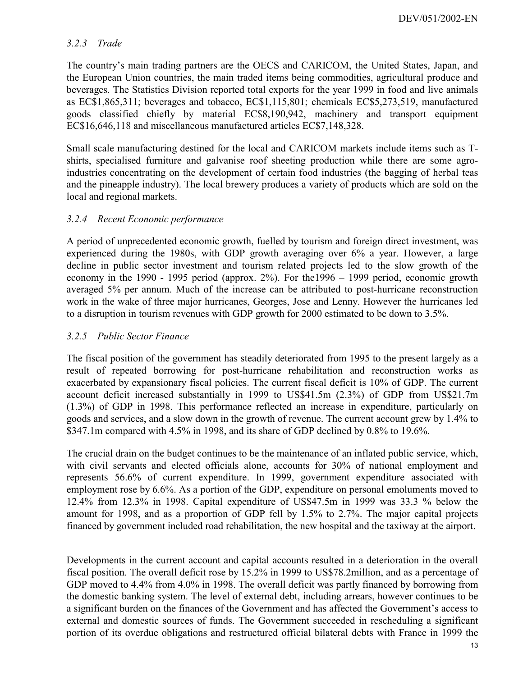#### <span id="page-12-0"></span>*3.2.3 Trade*

The country's main trading partners are the OECS and CARICOM, the United States, Japan, and the European Union countries, the main traded items being commodities, agricultural produce and beverages. The Statistics Division reported total exports for the year 1999 in food and live animals as EC\$1,865,311; beverages and tobacco, EC\$1,115,801; chemicals EC\$5,273,519, manufactured goods classified chiefly by material EC\$8,190,942, machinery and transport equipment EC\$16,646,118 and miscellaneous manufactured articles EC\$7,148,328.

Small scale manufacturing destined for the local and CARICOM markets include items such as Tshirts, specialised furniture and galvanise roof sheeting production while there are some agroindustries concentrating on the development of certain food industries (the bagging of herbal teas and the pineapple industry). The local brewery produces a variety of products which are sold on the local and regional markets.

# <span id="page-12-1"></span>*3.2.4 Recent Economic performance*

A period of unprecedented economic growth, fuelled by tourism and foreign direct investment, was experienced during the 1980s, with GDP growth averaging over 6% a year. However, a large decline in public sector investment and tourism related projects led to the slow growth of the economy in the 1990 - 1995 period (approx. 2%). For the1996 – 1999 period, economic growth averaged 5% per annum. Much of the increase can be attributed to post-hurricane reconstruction work in the wake of three major hurricanes, Georges, Jose and Lenny. However the hurricanes led to a disruption in tourism revenues with GDP growth for 2000 estimated to be down to 3.5%.

#### <span id="page-12-2"></span>*3.2.5 Public Sector Finance*

The fiscal position of the government has steadily deteriorated from 1995 to the present largely as a result of repeated borrowing for post-hurricane rehabilitation and reconstruction works as exacerbated by expansionary fiscal policies. The current fiscal deficit is 10% of GDP. The current account deficit increased substantially in 1999 to US\$41.5m (2.3%) of GDP from US\$21.7m (1.3%) of GDP in 1998. This performance reflected an increase in expenditure, particularly on goods and services, and a slow down in the growth of revenue. The current account grew by 1.4% to \$347.1m compared with 4.5% in 1998, and its share of GDP declined by 0.8% to 19.6%.

The crucial drain on the budget continues to be the maintenance of an inflated public service, which, with civil servants and elected officials alone, accounts for 30% of national employment and represents 56.6% of current expenditure. In 1999, government expenditure associated with employment rose by 6.6%. As a portion of the GDP, expenditure on personal emoluments moved to 12.4% from 12.3% in 1998. Capital expenditure of US\$47.5m in 1999 was 33.3 % below the amount for 1998, and as a proportion of GDP fell by 1.5% to 2.7%. The major capital projects financed by government included road rehabilitation, the new hospital and the taxiway at the airport.

Developments in the current account and capital accounts resulted in a deterioration in the overall fiscal position. The overall deficit rose by 15.2% in 1999 to US\$78.2million, and as a percentage of GDP moved to 4.4% from 4.0% in 1998. The overall deficit was partly financed by borrowing from the domestic banking system. The level of external debt, including arrears, however continues to be a significant burden on the finances of the Government and has affected the Government's access to external and domestic sources of funds. The Government succeeded in rescheduling a significant portion of its overdue obligations and restructured official bilateral debts with France in 1999 the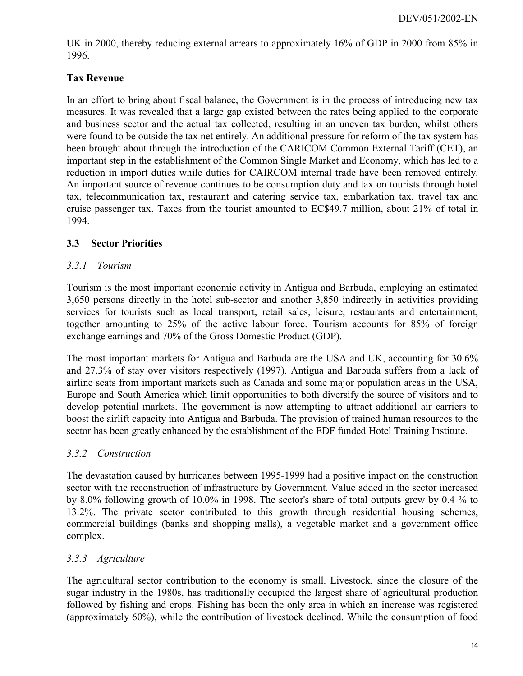UK in 2000, thereby reducing external arrears to approximately 16% of GDP in 2000 from 85% in 1996.

## **Tax Revenue**

In an effort to bring about fiscal balance, the Government is in the process of introducing new tax measures. It was revealed that a large gap existed between the rates being applied to the corporate and business sector and the actual tax collected, resulting in an uneven tax burden, whilst others were found to be outside the tax net entirely. An additional pressure for reform of the tax system has been brought about through the introduction of the CARICOM Common External Tariff (CET), an important step in the establishment of the Common Single Market and Economy, which has led to a reduction in import duties while duties for CAIRCOM internal trade have been removed entirely. An important source of revenue continues to be consumption duty and tax on tourists through hotel tax, telecommunication tax, restaurant and catering service tax, embarkation tax, travel tax and cruise passenger tax. Taxes from the tourist amounted to EC\$49.7 million, about 21% of total in 1994.

# <span id="page-13-0"></span>**3.3 Sector Priorities**

#### <span id="page-13-1"></span>*3.3.1 Tourism*

Tourism is the most important economic activity in Antigua and Barbuda, employing an estimated 3,650 persons directly in the hotel sub-sector and another 3,850 indirectly in activities providing services for tourists such as local transport, retail sales, leisure, restaurants and entertainment, together amounting to 25% of the active labour force. Tourism accounts for 85% of foreign exchange earnings and 70% of the Gross Domestic Product (GDP).

The most important markets for Antigua and Barbuda are the USA and UK, accounting for 30.6% and 27.3% of stay over visitors respectively (1997). Antigua and Barbuda suffers from a lack of airline seats from important markets such as Canada and some major population areas in the USA, Europe and South America which limit opportunities to both diversify the source of visitors and to develop potential markets. The government is now attempting to attract additional air carriers to boost the airlift capacity into Antigua and Barbuda. The provision of trained human resources to the sector has been greatly enhanced by the establishment of the EDF funded Hotel Training Institute.

#### <span id="page-13-2"></span>*3.3.2 Construction*

The devastation caused by hurricanes between 1995-1999 had a positive impact on the construction sector with the reconstruction of infrastructure by Government. Value added in the sector increased by 8.0% following growth of 10.0% in 1998. The sector's share of total outputs grew by 0.4 % to 13.2%. The private sector contributed to this growth through residential housing schemes, commercial buildings (banks and shopping malls), a vegetable market and a government office complex.

# <span id="page-13-3"></span>*3.3.3 Agriculture*

The agricultural sector contribution to the economy is small. Livestock, since the closure of the sugar industry in the 1980s, has traditionally occupied the largest share of agricultural production followed by fishing and crops. Fishing has been the only area in which an increase was registered (approximately 60%), while the contribution of livestock declined. While the consumption of food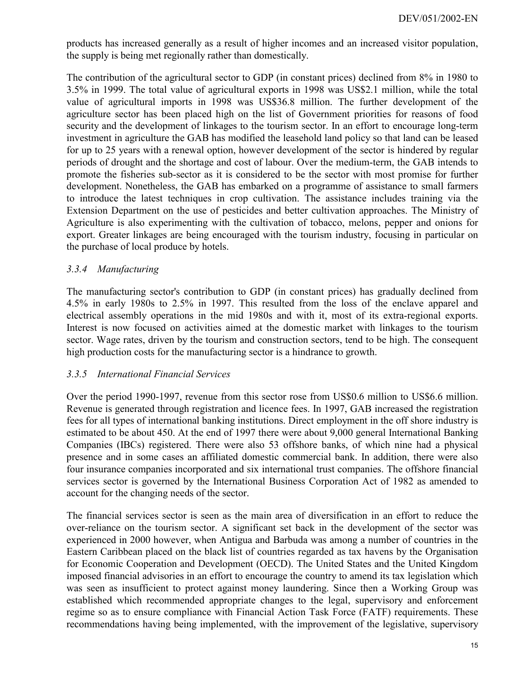products has increased generally as a result of higher incomes and an increased visitor population, the supply is being met regionally rather than domestically.

The contribution of the agricultural sector to GDP (in constant prices) declined from 8% in 1980 to 3.5% in 1999. The total value of agricultural exports in 1998 was US\$2.1 million, while the total value of agricultural imports in 1998 was US\$36.8 million. The further development of the agriculture sector has been placed high on the list of Government priorities for reasons of food security and the development of linkages to the tourism sector. In an effort to encourage long-term investment in agriculture the GAB has modified the leasehold land policy so that land can be leased for up to 25 years with a renewal option, however development of the sector is hindered by regular periods of drought and the shortage and cost of labour. Over the medium-term, the GAB intends to promote the fisheries sub-sector as it is considered to be the sector with most promise for further development. Nonetheless, the GAB has embarked on a programme of assistance to small farmers to introduce the latest techniques in crop cultivation. The assistance includes training via the Extension Department on the use of pesticides and better cultivation approaches. The Ministry of Agriculture is also experimenting with the cultivation of tobacco, melons, pepper and onions for export. Greater linkages are being encouraged with the tourism industry, focusing in particular on the purchase of local produce by hotels.

#### <span id="page-14-0"></span>*3.3.4 Manufacturing*

The manufacturing sector's contribution to GDP (in constant prices) has gradually declined from 4.5% in early 1980s to 2.5% in 1997. This resulted from the loss of the enclave apparel and electrical assembly operations in the mid 1980s and with it, most of its extra-regional exports. Interest is now focused on activities aimed at the domestic market with linkages to the tourism sector. Wage rates, driven by the tourism and construction sectors, tend to be high. The consequent high production costs for the manufacturing sector is a hindrance to growth.

#### <span id="page-14-1"></span>*3.3.5 International Financial Services*

Over the period 1990-1997, revenue from this sector rose from US\$0.6 million to US\$6.6 million. Revenue is generated through registration and licence fees. In 1997, GAB increased the registration fees for all types of international banking institutions. Direct employment in the off shore industry is estimated to be about 450. At the end of 1997 there were about 9,000 general International Banking Companies (IBCs) registered. There were also 53 offshore banks, of which nine had a physical presence and in some cases an affiliated domestic commercial bank. In addition, there were also four insurance companies incorporated and six international trust companies. The offshore financial services sector is governed by the International Business Corporation Act of 1982 as amended to account for the changing needs of the sector.

The financial services sector is seen as the main area of diversification in an effort to reduce the over-reliance on the tourism sector. A significant set back in the development of the sector was experienced in 2000 however, when Antigua and Barbuda was among a number of countries in the Eastern Caribbean placed on the black list of countries regarded as tax havens by the Organisation for Economic Cooperation and Development (OECD). The United States and the United Kingdom imposed financial advisories in an effort to encourage the country to amend its tax legislation which was seen as insufficient to protect against money laundering. Since then a Working Group was established which recommended appropriate changes to the legal, supervisory and enforcement regime so as to ensure compliance with Financial Action Task Force (FATF) requirements. These recommendations having being implemented, with the improvement of the legislative, supervisory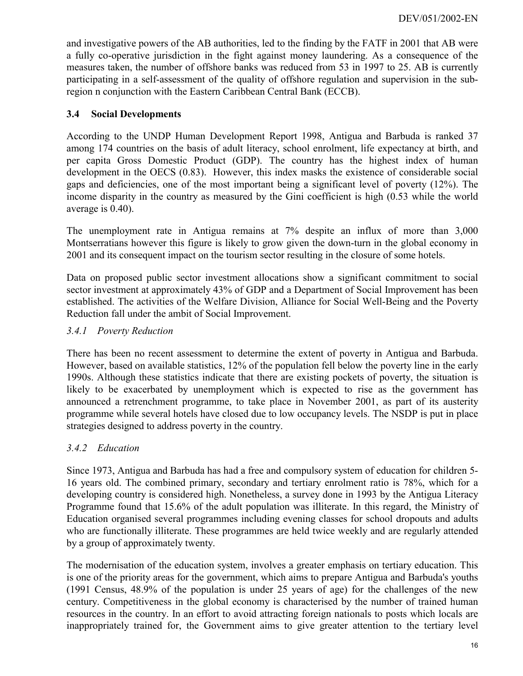and investigative powers of the AB authorities, led to the finding by the FATF in 2001 that AB were a fully co-operative jurisdiction in the fight against money laundering. As a consequence of the measures taken, the number of offshore banks was reduced from 53 in 1997 to 25. AB is currently participating in a self-assessment of the quality of offshore regulation and supervision in the subregion n conjunction with the Eastern Caribbean Central Bank (ECCB).

#### <span id="page-15-0"></span>**3.4 Social Developments**

According to the UNDP Human Development Report 1998, Antigua and Barbuda is ranked 37 among 174 countries on the basis of adult literacy, school enrolment, life expectancy at birth, and per capita Gross Domestic Product (GDP). The country has the highest index of human development in the OECS (0.83). However, this index masks the existence of considerable social gaps and deficiencies, one of the most important being a significant level of poverty (12%). The income disparity in the country as measured by the Gini coefficient is high (0.53 while the world average is 0.40).

The unemployment rate in Antigua remains at 7% despite an influx of more than 3,000 Montserratians however this figure is likely to grow given the down-turn in the global economy in 2001 and its consequent impact on the tourism sector resulting in the closure of some hotels.

Data on proposed public sector investment allocations show a significant commitment to social sector investment at approximately 43% of GDP and a Department of Social Improvement has been established. The activities of the Welfare Division, Alliance for Social Well-Being and the Poverty Reduction fall under the ambit of Social Improvement.

#### <span id="page-15-1"></span>*3.4.1 Poverty Reduction*

There has been no recent assessment to determine the extent of poverty in Antigua and Barbuda. However, based on available statistics, 12% of the population fell below the poverty line in the early 1990s. Although these statistics indicate that there are existing pockets of poverty, the situation is likely to be exacerbated by unemployment which is expected to rise as the government has announced a retrenchment programme, to take place in November 2001, as part of its austerity programme while several hotels have closed due to low occupancy levels. The NSDP is put in place strategies designed to address poverty in the country.

#### <span id="page-15-2"></span>*3.4.2 Education*

Since 1973, Antigua and Barbuda has had a free and compulsory system of education for children 5- 16 years old. The combined primary, secondary and tertiary enrolment ratio is 78%, which for a developing country is considered high. Nonetheless, a survey done in 1993 by the Antigua Literacy Programme found that 15.6% of the adult population was illiterate. In this regard, the Ministry of Education organised several programmes including evening classes for school dropouts and adults who are functionally illiterate. These programmes are held twice weekly and are regularly attended by a group of approximately twenty.

The modernisation of the education system, involves a greater emphasis on tertiary education. This is one of the priority areas for the government, which aims to prepare Antigua and Barbuda's youths (1991 Census, 48.9% of the population is under 25 years of age) for the challenges of the new century. Competitiveness in the global economy is characterised by the number of trained human resources in the country. In an effort to avoid attracting foreign nationals to posts which locals are inappropriately trained for, the Government aims to give greater attention to the tertiary level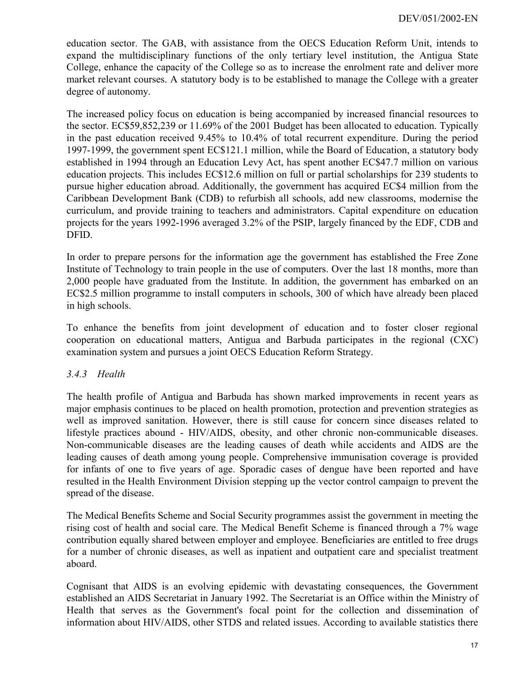education sector. The GAB, with assistance from the OECS Education Reform Unit, intends to expand the multidisciplinary functions of the only tertiary level institution, the Antigua State College, enhance the capacity of the College so as to increase the enrolment rate and deliver more market relevant courses. A statutory body is to be established to manage the College with a greater degree of autonomy.

The increased policy focus on education is being accompanied by increased financial resources to the sector. EC\$59,852,239 or 11.69% of the 2001 Budget has been allocated to education. Typically in the past education received 9.45% to 10.4% of total recurrent expenditure. During the period 1997-1999, the government spent EC\$121.1 million, while the Board of Education, a statutory body established in 1994 through an Education Levy Act, has spent another EC\$47.7 million on various education projects. This includes EC\$12.6 million on full or partial scholarships for 239 students to pursue higher education abroad. Additionally, the government has acquired EC\$4 million from the Caribbean Development Bank (CDB) to refurbish all schools, add new classrooms, modernise the curriculum, and provide training to teachers and administrators. Capital expenditure on education projects for the years 1992-1996 averaged 3.2% of the PSIP, largely financed by the EDF, CDB and DFID.

In order to prepare persons for the information age the government has established the Free Zone Institute of Technology to train people in the use of computers. Over the last 18 months, more than 2,000 people have graduated from the Institute. In addition, the government has embarked on an EC\$2.5 million programme to install computers in schools, 300 of which have already been placed in high schools.

To enhance the benefits from joint development of education and to foster closer regional cooperation on educational matters, Antigua and Barbuda participates in the regional (CXC) examination system and pursues a joint OECS Education Reform Strategy.

#### <span id="page-16-0"></span>*3.4.3 Health*

The health profile of Antigua and Barbuda has shown marked improvements in recent years as major emphasis continues to be placed on health promotion, protection and prevention strategies as well as improved sanitation. However, there is still cause for concern since diseases related to lifestyle practices abound - HIV/AIDS, obesity, and other chronic non-communicable diseases. Non-communicable diseases are the leading causes of death while accidents and AIDS are the leading causes of death among young people. Comprehensive immunisation coverage is provided for infants of one to five years of age. Sporadic cases of dengue have been reported and have resulted in the Health Environment Division stepping up the vector control campaign to prevent the spread of the disease.

The Medical Benefits Scheme and Social Security programmes assist the government in meeting the rising cost of health and social care. The Medical Benefit Scheme is financed through a 7% wage contribution equally shared between employer and employee. Beneficiaries are entitled to free drugs for a number of chronic diseases, as well as inpatient and outpatient care and specialist treatment aboard.

Cognisant that AIDS is an evolving epidemic with devastating consequences, the Government established an AIDS Secretariat in January 1992. The Secretariat is an Office within the Ministry of Health that serves as the Government's focal point for the collection and dissemination of information about HIV/AIDS, other STDS and related issues. According to available statistics there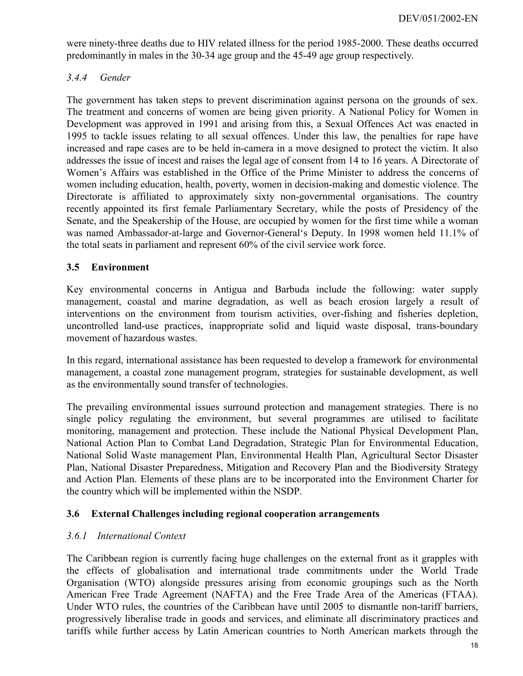were ninety-three deaths due to HIV related illness for the period 1985-2000. These deaths occurred predominantly in males in the 30-34 age group and the 45-49 age group respectively.

## <span id="page-17-0"></span>*3.4.4 Gender*

The government has taken steps to prevent discrimination against persona on the grounds of sex. The treatment and concerns of women are being given priority. A National Policy for Women in Development was approved in 1991 and arising from this, a Sexual Offences Act was enacted in 1995 to tackle issues relating to all sexual offences. Under this law, the penalties for rape have increased and rape cases are to be held in-camera in a move designed to protect the victim. It also addresses the issue of incest and raises the legal age of consent from 14 to 16 years. A Directorate of Women's Affairs was established in the Office of the Prime Minister to address the concerns of women including education, health, poverty, women in decision-making and domestic violence. The Directorate is affiliated to approximately sixty non-governmental organisations. The country recently appointed its first female Parliamentary Secretary, while the posts of Presidency of the Senate, and the Speakership of the House, are occupied by women for the first time while a woman was named Ambassador-at-large and Governor-General's Deputy. In 1998 women held 11.1% of the total seats in parliament and represent 60% of the civil service work force.

#### <span id="page-17-1"></span>**3.5 Environment**

Key environmental concerns in Antigua and Barbuda include the following: water supply management, coastal and marine degradation, as well as beach erosion largely a result of interventions on the environment from tourism activities, over-fishing and fisheries depletion, uncontrolled land-use practices, inappropriate solid and liquid waste disposal, trans-boundary movement of hazardous wastes.

In this regard, international assistance has been requested to develop a framework for environmental management, a coastal zone management program, strategies for sustainable development, as well as the environmentally sound transfer of technologies.

The prevailing environmental issues surround protection and management strategies. There is no single policy regulating the environment, but several programmes are utilised to facilitate monitoring, management and protection. These include the National Physical Development Plan, National Action Plan to Combat Land Degradation, Strategic Plan for Environmental Education, National Solid Waste management Plan, Environmental Health Plan, Agricultural Sector Disaster Plan, National Disaster Preparedness, Mitigation and Recovery Plan and the Biodiversity Strategy and Action Plan. Elements of these plans are to be incorporated into the Environment Charter for the country which will be implemented within the NSDP.

#### <span id="page-17-2"></span>**3.6 External Challenges including regional cooperation arrangements**

#### <span id="page-17-3"></span>*3.6.1 International Context*

The Caribbean region is currently facing huge challenges on the external front as it grapples with the effects of globalisation and international trade commitments under the World Trade Organisation (WTO) alongside pressures arising from economic groupings such as the North American Free Trade Agreement (NAFTA) and the Free Trade Area of the Americas (FTAA). Under WTO rules, the countries of the Caribbean have until 2005 to dismantle non-tariff barriers, progressively liberalise trade in goods and services, and eliminate all discriminatory practices and tariffs while further access by Latin American countries to North American markets through the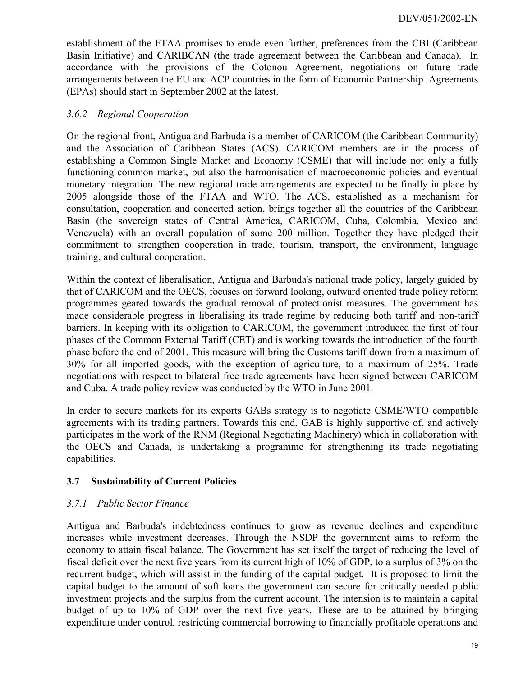establishment of the FTAA promises to erode even further, preferences from the CBI (Caribbean Basin Initiative) and CARIBCAN (the trade agreement between the Caribbean and Canada). In accordance with the provisions of the Cotonou Agreement, negotiations on future trade arrangements between the EU and ACP countries in the form of Economic Partnership Agreements (EPAs) should start in September 2002 at the latest.

#### <span id="page-18-0"></span>*3.6.2 Regional Cooperation*

On the regional front, Antigua and Barbuda is a member of CARICOM (the Caribbean Community) and the Association of Caribbean States (ACS). CARICOM members are in the process of establishing a Common Single Market and Economy (CSME) that will include not only a fully functioning common market, but also the harmonisation of macroeconomic policies and eventual monetary integration. The new regional trade arrangements are expected to be finally in place by 2005 alongside those of the FTAA and WTO. The ACS, established as a mechanism for consultation, cooperation and concerted action, brings together all the countries of the Caribbean Basin (the sovereign states of Central America, CARICOM, Cuba, Colombia, Mexico and Venezuela) with an overall population of some 200 million. Together they have pledged their commitment to strengthen cooperation in trade, tourism, transport, the environment, language training, and cultural cooperation.

Within the context of liberalisation, Antigua and Barbuda's national trade policy, largely guided by that of CARICOM and the OECS, focuses on forward looking, outward oriented trade policy reform programmes geared towards the gradual removal of protectionist measures. The government has made considerable progress in liberalising its trade regime by reducing both tariff and non-tariff barriers. In keeping with its obligation to CARICOM, the government introduced the first of four phases of the Common External Tariff (CET) and is working towards the introduction of the fourth phase before the end of 2001. This measure will bring the Customs tariff down from a maximum of 30% for all imported goods, with the exception of agriculture, to a maximum of 25%. Trade negotiations with respect to bilateral free trade agreements have been signed between CARICOM and Cuba. A trade policy review was conducted by the WTO in June 2001.

In order to secure markets for its exports GABs strategy is to negotiate CSME/WTO compatible agreements with its trading partners. Towards this end, GAB is highly supportive of, and actively participates in the work of the RNM (Regional Negotiating Machinery) which in collaboration with the OECS and Canada, is undertaking a programme for strengthening its trade negotiating capabilities.

#### <span id="page-18-1"></span>**3.7 Sustainability of Current Policies**

#### <span id="page-18-2"></span>*3.7.1 Public Sector Finance*

Antigua and Barbuda's indebtedness continues to grow as revenue declines and expenditure increases while investment decreases. Through the NSDP the government aims to reform the economy to attain fiscal balance. The Government has set itself the target of reducing the level of fiscal deficit over the next five years from its current high of 10% of GDP, to a surplus of 3% on the recurrent budget, which will assist in the funding of the capital budget. It is proposed to limit the capital budget to the amount of soft loans the government can secure for critically needed public investment projects and the surplus from the current account. The intension is to maintain a capital budget of up to 10% of GDP over the next five years. These are to be attained by bringing expenditure under control, restricting commercial borrowing to financially profitable operations and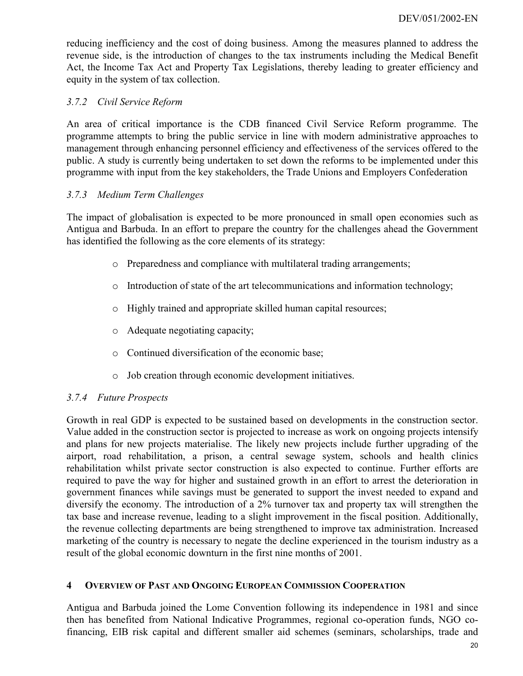reducing inefficiency and the cost of doing business. Among the measures planned to address the revenue side, is the introduction of changes to the tax instruments including the Medical Benefit Act, the Income Tax Act and Property Tax Legislations, thereby leading to greater efficiency and equity in the system of tax collection.

# <span id="page-19-0"></span>*3.7.2 Civil Service Reform*

An area of critical importance is the CDB financed Civil Service Reform programme. The programme attempts to bring the public service in line with modern administrative approaches to management through enhancing personnel efficiency and effectiveness of the services offered to the public. A study is currently being undertaken to set down the reforms to be implemented under this programme with input from the key stakeholders, the Trade Unions and Employers Confederation

#### <span id="page-19-1"></span>*3.7.3 Medium Term Challenges*

The impact of globalisation is expected to be more pronounced in small open economies such as Antigua and Barbuda. In an effort to prepare the country for the challenges ahead the Government has identified the following as the core elements of its strategy:

- o Preparedness and compliance with multilateral trading arrangements;
- o Introduction of state of the art telecommunications and information technology;
- o Highly trained and appropriate skilled human capital resources;
- o Adequate negotiating capacity;
- o Continued diversification of the economic base;
- <span id="page-19-2"></span>o Job creation through economic development initiatives.

#### *3.7.4 Future Prospects*

Growth in real GDP is expected to be sustained based on developments in the construction sector. Value added in the construction sector is projected to increase as work on ongoing projects intensify and plans for new projects materialise. The likely new projects include further upgrading of the airport, road rehabilitation, a prison, a central sewage system, schools and health clinics rehabilitation whilst private sector construction is also expected to continue. Further efforts are required to pave the way for higher and sustained growth in an effort to arrest the deterioration in government finances while savings must be generated to support the invest needed to expand and diversify the economy. The introduction of a 2% turnover tax and property tax will strengthen the tax base and increase revenue, leading to a slight improvement in the fiscal position. Additionally, the revenue collecting departments are being strengthened to improve tax administration. Increased marketing of the country is necessary to negate the decline experienced in the tourism industry as a result of the global economic downturn in the first nine months of 2001.

#### <span id="page-19-3"></span>**4 OVERVIEW OF PAST AND ONGOING EUROPEAN COMMISSION COOPERATION**

Antigua and Barbuda joined the Lome Convention following its independence in 1981 and since then has benefited from National Indicative Programmes, regional co-operation funds, NGO cofinancing, EIB risk capital and different smaller aid schemes (seminars, scholarships, trade and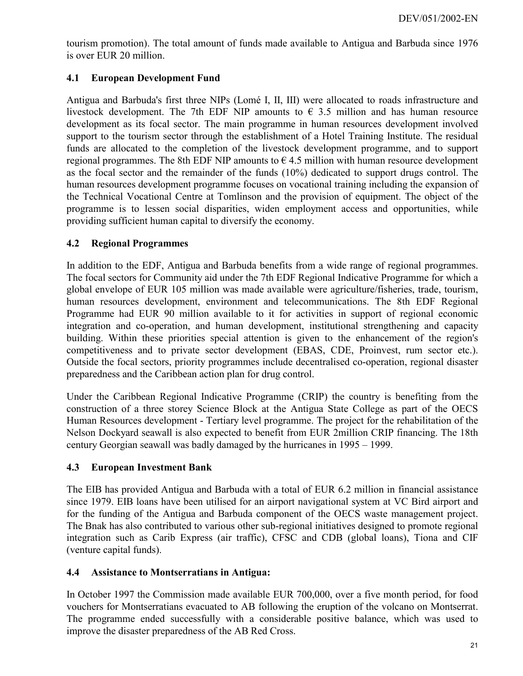tourism promotion). The total amount of funds made available to Antigua and Barbuda since 1976 is over EUR 20 million.

# <span id="page-20-0"></span>**4.1 European Development Fund**

Antigua and Barbuda's first three NIPs (Lomé I, II, III) were allocated to roads infrastructure and livestock development. The 7th EDF NIP amounts to  $\epsilon$  3.5 million and has human resource development as its focal sector. The main programme in human resources development involved support to the tourism sector through the establishment of a Hotel Training Institute. The residual funds are allocated to the completion of the livestock development programme, and to support regional programmes. The 8th EDF NIP amounts to  $\epsilon$  4.5 million with human resource development as the focal sector and the remainder of the funds (10%) dedicated to support drugs control. The human resources development programme focuses on vocational training including the expansion of the Technical Vocational Centre at Tomlinson and the provision of equipment. The object of the programme is to lessen social disparities, widen employment access and opportunities, while providing sufficient human capital to diversify the economy.

#### <span id="page-20-1"></span>**4.2 Regional Programmes**

In addition to the EDF, Antigua and Barbuda benefits from a wide range of regional programmes. The focal sectors for Community aid under the 7th EDF Regional Indicative Programme for which a global envelope of EUR 105 million was made available were agriculture/fisheries, trade, tourism, human resources development, environment and telecommunications. The 8th EDF Regional Programme had EUR 90 million available to it for activities in support of regional economic integration and co-operation, and human development, institutional strengthening and capacity building. Within these priorities special attention is given to the enhancement of the region's competitiveness and to private sector development (EBAS, CDE, Proinvest, rum sector etc.). Outside the focal sectors, priority programmes include decentralised co-operation, regional disaster preparedness and the Caribbean action plan for drug control.

Under the Caribbean Regional Indicative Programme (CRIP) the country is benefiting from the construction of a three storey Science Block at the Antigua State College as part of the OECS Human Resources development - Tertiary level programme. The project for the rehabilitation of the Nelson Dockyard seawall is also expected to benefit from EUR 2million CRIP financing. The 18th century Georgian seawall was badly damaged by the hurricanes in 1995 – 1999.

#### <span id="page-20-2"></span>**4.3 European Investment Bank**

The EIB has provided Antigua and Barbuda with a total of EUR 6.2 million in financial assistance since 1979. EIB loans have been utilised for an airport navigational system at VC Bird airport and for the funding of the Antigua and Barbuda component of the OECS waste management project. The Bnak has also contributed to various other sub-regional initiatives designed to promote regional integration such as Carib Express (air traffic), CFSC and CDB (global loans), Tiona and CIF (venture capital funds).

#### <span id="page-20-3"></span>**4.4 Assistance to Montserratians in Antigua:**

In October 1997 the Commission made available EUR 700,000, over a five month period, for food vouchers for Montserratians evacuated to AB following the eruption of the volcano on Montserrat. The programme ended successfully with a considerable positive balance, which was used to improve the disaster preparedness of the AB Red Cross.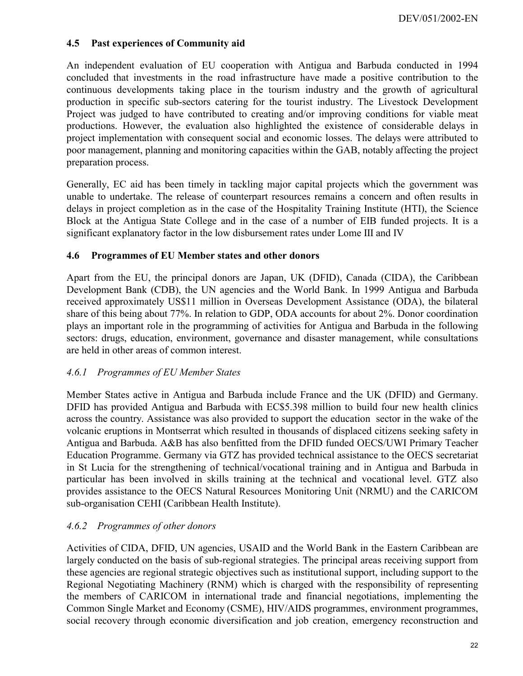#### <span id="page-21-0"></span>**4.5 Past experiences of Community aid**

An independent evaluation of EU cooperation with Antigua and Barbuda conducted in 1994 concluded that investments in the road infrastructure have made a positive contribution to the continuous developments taking place in the tourism industry and the growth of agricultural production in specific sub-sectors catering for the tourist industry. The Livestock Development Project was judged to have contributed to creating and/or improving conditions for viable meat productions. However, the evaluation also highlighted the existence of considerable delays in project implementation with consequent social and economic losses. The delays were attributed to poor management, planning and monitoring capacities within the GAB, notably affecting the project preparation process.

Generally, EC aid has been timely in tackling major capital projects which the government was unable to undertake. The release of counterpart resources remains a concern and often results in delays in project completion as in the case of the Hospitality Training Institute (HTI), the Science Block at the Antigua State College and in the case of a number of EIB funded projects. It is a significant explanatory factor in the low disbursement rates under Lome III and IV

#### <span id="page-21-1"></span>**4.6 Programmes of EU Member states and other donors**

Apart from the EU, the principal donors are Japan, UK (DFID), Canada (CIDA), the Caribbean Development Bank (CDB), the UN agencies and the World Bank. In 1999 Antigua and Barbuda received approximately US\$11 million in Overseas Development Assistance (ODA), the bilateral share of this being about 77%. In relation to GDP, ODA accounts for about 2%. Donor coordination plays an important role in the programming of activities for Antigua and Barbuda in the following sectors: drugs, education, environment, governance and disaster management, while consultations are held in other areas of common interest.

#### <span id="page-21-2"></span>*4.6.1 Programmes of EU Member States*

Member States active in Antigua and Barbuda include France and the UK (DFID) and Germany. DFID has provided Antigua and Barbuda with EC\$5.398 million to build four new health clinics across the country. Assistance was also provided to support the education sector in the wake of the volcanic eruptions in Montserrat which resulted in thousands of displaced citizens seeking safety in Antigua and Barbuda. A&B has also benfitted from the DFID funded OECS/UWI Primary Teacher Education Programme. Germany via GTZ has provided technical assistance to the OECS secretariat in St Lucia for the strengthening of technical/vocational training and in Antigua and Barbuda in particular has been involved in skills training at the technical and vocational level. GTZ also provides assistance to the OECS Natural Resources Monitoring Unit (NRMU) and the CARICOM sub-organisation CEHI (Caribbean Health Institute).

#### <span id="page-21-3"></span>*4.6.2 Programmes of other donors*

Activities of CIDA, DFID, UN agencies, USAID and the World Bank in the Eastern Caribbean are largely conducted on the basis of sub-regional strategies. The principal areas receiving support from these agencies are regional strategic objectives such as institutional support, including support to the Regional Negotiating Machinery (RNM) which is charged with the responsibility of representing the members of CARICOM in international trade and financial negotiations, implementing the Common Single Market and Economy (CSME), HIV/AIDS programmes, environment programmes, social recovery through economic diversification and job creation, emergency reconstruction and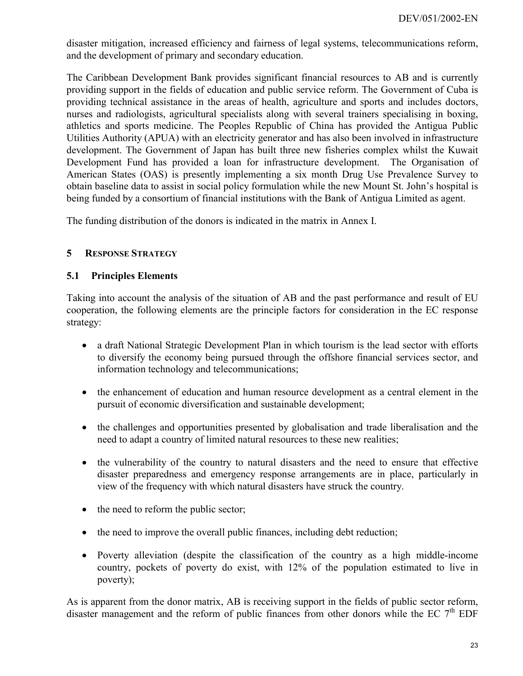disaster mitigation, increased efficiency and fairness of legal systems, telecommunications reform, and the development of primary and secondary education.

The Caribbean Development Bank provides significant financial resources to AB and is currently providing support in the fields of education and public service reform. The Government of Cuba is providing technical assistance in the areas of health, agriculture and sports and includes doctors, nurses and radiologists, agricultural specialists along with several trainers specialising in boxing, athletics and sports medicine. The Peoples Republic of China has provided the Antigua Public Utilities Authority (APUA) with an electricity generator and has also been involved in infrastructure development. The Government of Japan has built three new fisheries complex whilst the Kuwait Development Fund has provided a loan for infrastructure development. The Organisation of American States (OAS) is presently implementing a six month Drug Use Prevalence Survey to obtain baseline data to assist in social policy formulation while the new Mount St. John's hospital is being funded by a consortium of financial institutions with the Bank of Antigua Limited as agent.

The funding distribution of the donors is indicated in the matrix in Annex I.

#### <span id="page-22-0"></span>**5 RESPONSE STRATEGY**

#### <span id="page-22-1"></span>**5.1 Principles Elements**

Taking into account the analysis of the situation of AB and the past performance and result of EU cooperation, the following elements are the principle factors for consideration in the EC response strategy:

- a draft National Strategic Development Plan in which tourism is the lead sector with efforts to diversify the economy being pursued through the offshore financial services sector, and information technology and telecommunications;
- the enhancement of education and human resource development as a central element in the pursuit of economic diversification and sustainable development;
- the challenges and opportunities presented by globalisation and trade liberalisation and the need to adapt a country of limited natural resources to these new realities;
- the vulnerability of the country to natural disasters and the need to ensure that effective disaster preparedness and emergency response arrangements are in place, particularly in view of the frequency with which natural disasters have struck the country.
- the need to reform the public sector;
- the need to improve the overall public finances, including debt reduction;
- Poverty alleviation (despite the classification of the country as a high middle-income country, pockets of poverty do exist, with 12% of the population estimated to live in poverty);

As is apparent from the donor matrix, AB is receiving support in the fields of public sector reform, disaster management and the reform of public finances from other donors while the EC  $7<sup>th</sup>$  EDF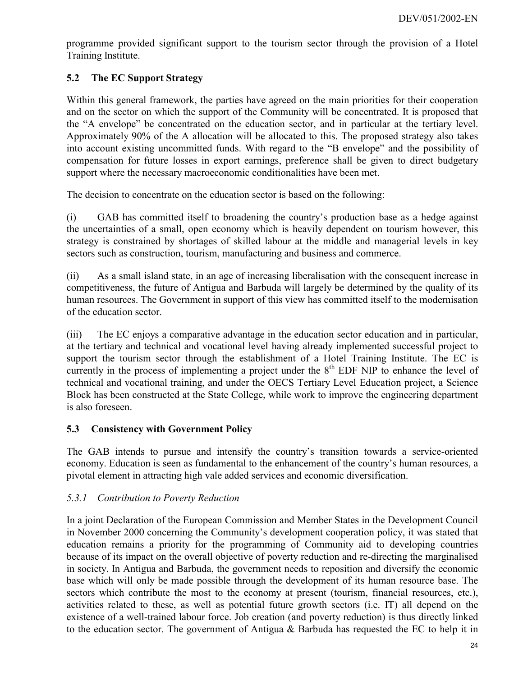programme provided significant support to the tourism sector through the provision of a Hotel Training Institute.

# <span id="page-23-0"></span>**5.2 The EC Support Strategy**

Within this general framework, the parties have agreed on the main priorities for their cooperation and on the sector on which the support of the Community will be concentrated. It is proposed that the "A envelope" be concentrated on the education sector, and in particular at the tertiary level. Approximately 90% of the A allocation will be allocated to this. The proposed strategy also takes into account existing uncommitted funds. With regard to the "B envelope" and the possibility of compensation for future losses in export earnings, preference shall be given to direct budgetary support where the necessary macroeconomic conditionalities have been met.

The decision to concentrate on the education sector is based on the following:

(i) GAB has committed itself to broadening the country's production base as a hedge against the uncertainties of a small, open economy which is heavily dependent on tourism however, this strategy is constrained by shortages of skilled labour at the middle and managerial levels in key sectors such as construction, tourism, manufacturing and business and commerce.

(ii) As a small island state, in an age of increasing liberalisation with the consequent increase in competitiveness, the future of Antigua and Barbuda will largely be determined by the quality of its human resources. The Government in support of this view has committed itself to the modernisation of the education sector.

(iii) The EC enjoys a comparative advantage in the education sector education and in particular, at the tertiary and technical and vocational level having already implemented successful project to support the tourism sector through the establishment of a Hotel Training Institute. The EC is currently in the process of implementing a project under the 8<sup>th</sup> EDF NIP to enhance the level of technical and vocational training, and under the OECS Tertiary Level Education project, a Science Block has been constructed at the State College, while work to improve the engineering department is also foreseen.

#### <span id="page-23-1"></span>**5.3 Consistency with Government Policy**

The GAB intends to pursue and intensify the country's transition towards a service-oriented economy. Education is seen as fundamental to the enhancement of the country's human resources, a pivotal element in attracting high vale added services and economic diversification.

#### <span id="page-23-2"></span>*5.3.1 Contribution to Poverty Reduction*

In a joint Declaration of the European Commission and Member States in the Development Council in November 2000 concerning the Community's development cooperation policy, it was stated that education remains a priority for the programming of Community aid to developing countries because of its impact on the overall objective of poverty reduction and re-directing the marginalised in society. In Antigua and Barbuda, the government needs to reposition and diversify the economic base which will only be made possible through the development of its human resource base. The sectors which contribute the most to the economy at present (tourism, financial resources, etc.), activities related to these, as well as potential future growth sectors (i.e. IT) all depend on the existence of a well-trained labour force. Job creation (and poverty reduction) is thus directly linked to the education sector. The government of Antigua & Barbuda has requested the EC to help it in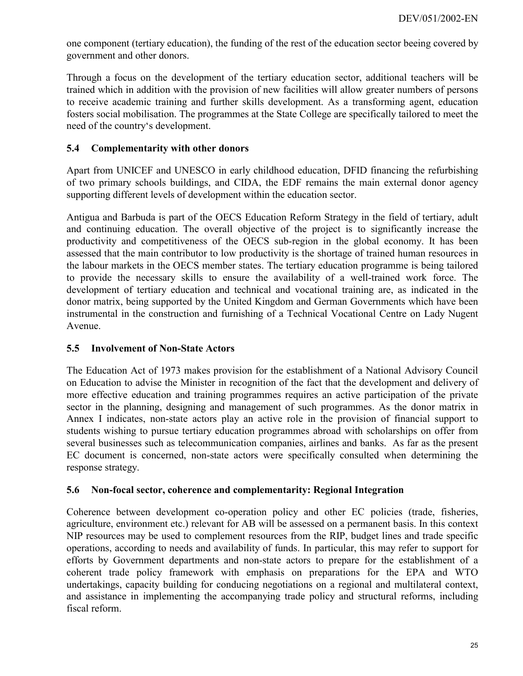one component (tertiary education), the funding of the rest of the education sector beeing covered by government and other donors.

Through a focus on the development of the tertiary education sector, additional teachers will be trained which in addition with the provision of new facilities will allow greater numbers of persons to receive academic training and further skills development. As a transforming agent, education fosters social mobilisation. The programmes at the State College are specifically tailored to meet the need of the country's development.

#### <span id="page-24-0"></span>**5.4 Complementarity with other donors**

Apart from UNICEF and UNESCO in early childhood education, DFID financing the refurbishing of two primary schools buildings, and CIDA, the EDF remains the main external donor agency supporting different levels of development within the education sector.

Antigua and Barbuda is part of the OECS Education Reform Strategy in the field of tertiary, adult and continuing education. The overall objective of the project is to significantly increase the productivity and competitiveness of the OECS sub-region in the global economy. It has been assessed that the main contributor to low productivity is the shortage of trained human resources in the labour markets in the OECS member states. The tertiary education programme is being tailored to provide the necessary skills to ensure the availability of a well-trained work force. The development of tertiary education and technical and vocational training are, as indicated in the donor matrix, being supported by the United Kingdom and German Governments which have been instrumental in the construction and furnishing of a Technical Vocational Centre on Lady Nugent Avenue.

#### <span id="page-24-1"></span>**5.5 Involvement of Non-State Actors**

The Education Act of 1973 makes provision for the establishment of a National Advisory Council on Education to advise the Minister in recognition of the fact that the development and delivery of more effective education and training programmes requires an active participation of the private sector in the planning, designing and management of such programmes. As the donor matrix in Annex I indicates, non-state actors play an active role in the provision of financial support to students wishing to pursue tertiary education programmes abroad with scholarships on offer from several businesses such as telecommunication companies, airlines and banks. As far as the present EC document is concerned, non-state actors were specifically consulted when determining the response strategy.

#### <span id="page-24-2"></span>**5.6 Non-focal sector, coherence and complementarity: Regional Integration**

Coherence between development co-operation policy and other EC policies (trade, fisheries, agriculture, environment etc.) relevant for AB will be assessed on a permanent basis. In this context NIP resources may be used to complement resources from the RIP, budget lines and trade specific operations, according to needs and availability of funds. In particular, this may refer to support for efforts by Government departments and non-state actors to prepare for the establishment of a coherent trade policy framework with emphasis on preparations for the EPA and WTO undertakings, capacity building for conducing negotiations on a regional and multilateral context, and assistance in implementing the accompanying trade policy and structural reforms, including fiscal reform.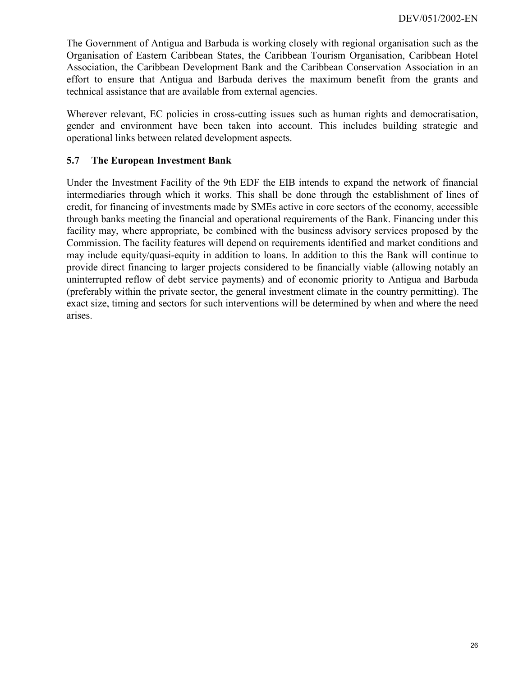The Government of Antigua and Barbuda is working closely with regional organisation such as the Organisation of Eastern Caribbean States, the Caribbean Tourism Organisation, Caribbean Hotel Association, the Caribbean Development Bank and the Caribbean Conservation Association in an effort to ensure that Antigua and Barbuda derives the maximum benefit from the grants and technical assistance that are available from external agencies.

Wherever relevant, EC policies in cross-cutting issues such as human rights and democratisation, gender and environment have been taken into account. This includes building strategic and operational links between related development aspects.

## <span id="page-25-0"></span>**5.7 The European Investment Bank**

Under the Investment Facility of the 9th EDF the EIB intends to expand the network of financial intermediaries through which it works. This shall be done through the establishment of lines of credit, for financing of investments made by SMEs active in core sectors of the economy, accessible through banks meeting the financial and operational requirements of the Bank. Financing under this facility may, where appropriate, be combined with the business advisory services proposed by the Commission. The facility features will depend on requirements identified and market conditions and may include equity/quasi-equity in addition to loans. In addition to this the Bank will continue to provide direct financing to larger projects considered to be financially viable (allowing notably an uninterrupted reflow of debt service payments) and of economic priority to Antigua and Barbuda (preferably within the private sector, the general investment climate in the country permitting). The exact size, timing and sectors for such interventions will be determined by when and where the need arises.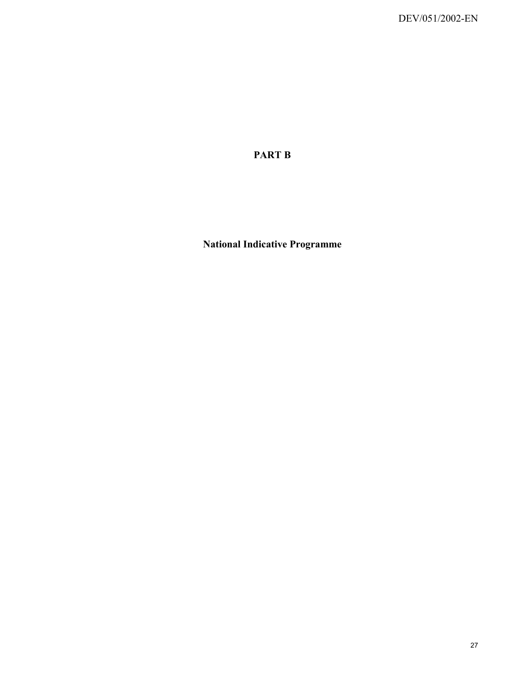**PART B**

**National Indicative Programme**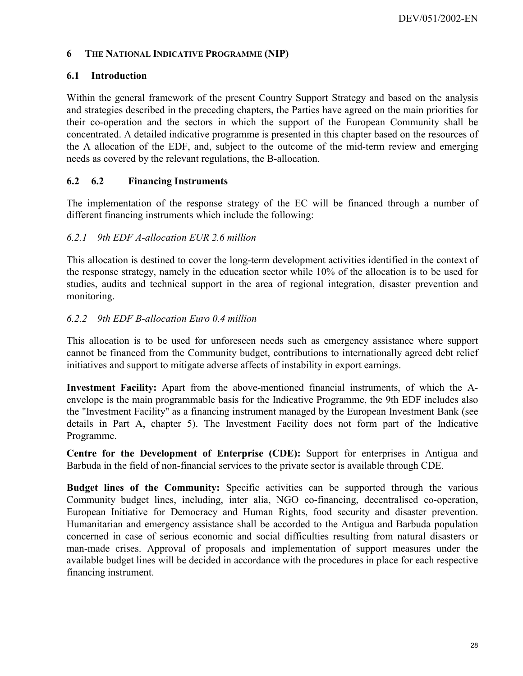#### <span id="page-27-0"></span>**6 THE NATIONAL INDICATIVE PROGRAMME (NIP)**

#### <span id="page-27-1"></span>**6.1 Introduction**

Within the general framework of the present Country Support Strategy and based on the analysis and strategies described in the preceding chapters, the Parties have agreed on the main priorities for their co-operation and the sectors in which the support of the European Community shall be concentrated. A detailed indicative programme is presented in this chapter based on the resources of the A allocation of the EDF, and, subject to the outcome of the mid-term review and emerging needs as covered by the relevant regulations, the B-allocation.

#### <span id="page-27-2"></span>**6.2 6.2 Financing Instruments**

The implementation of the response strategy of the EC will be financed through a number of different financing instruments which include the following:

#### <span id="page-27-3"></span>*6.2.1 9th EDF A-allocation EUR 2.6 million*

This allocation is destined to cover the long-term development activities identified in the context of the response strategy, namely in the education sector while 10% of the allocation is to be used for studies, audits and technical support in the area of regional integration, disaster prevention and monitoring.

#### <span id="page-27-4"></span>*6.2.2 9th EDF B-allocation Euro 0.4 million*

This allocation is to be used for unforeseen needs such as emergency assistance where support cannot be financed from the Community budget, contributions to internationally agreed debt relief initiatives and support to mitigate adverse affects of instability in export earnings.

**Investment Facility:** Apart from the above-mentioned financial instruments, of which the Aenvelope is the main programmable basis for the Indicative Programme, the 9th EDF includes also the "Investment Facility" as a financing instrument managed by the European Investment Bank (see details in Part A, chapter 5). The Investment Facility does not form part of the Indicative Programme.

**Centre for the Development of Enterprise (CDE):** Support for enterprises in Antigua and Barbuda in the field of non-financial services to the private sector is available through CDE.

**Budget lines of the Community:** Specific activities can be supported through the various Community budget lines, including, inter alia, NGO co-financing, decentralised co-operation, European Initiative for Democracy and Human Rights, food security and disaster prevention. Humanitarian and emergency assistance shall be accorded to the Antigua and Barbuda population concerned in case of serious economic and social difficulties resulting from natural disasters or man-made crises. Approval of proposals and implementation of support measures under the available budget lines will be decided in accordance with the procedures in place for each respective financing instrument.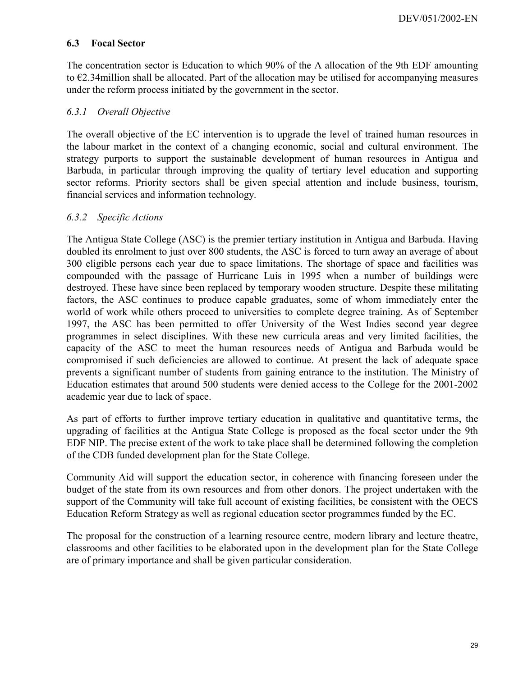#### <span id="page-28-0"></span>**6.3 Focal Sector**

The concentration sector is Education to which 90% of the A allocation of the 9th EDF amounting to €2.34million shall be allocated. Part of the allocation may be utilised for accompanying measures under the reform process initiated by the government in the sector.

#### <span id="page-28-1"></span>*6.3.1 Overall Objective*

The overall objective of the EC intervention is to upgrade the level of trained human resources in the labour market in the context of a changing economic, social and cultural environment. The strategy purports to support the sustainable development of human resources in Antigua and Barbuda, in particular through improving the quality of tertiary level education and supporting sector reforms. Priority sectors shall be given special attention and include business, tourism, financial services and information technology.

#### <span id="page-28-2"></span>*6.3.2 Specific Actions*

The Antigua State College (ASC) is the premier tertiary institution in Antigua and Barbuda. Having doubled its enrolment to just over 800 students, the ASC is forced to turn away an average of about 300 eligible persons each year due to space limitations. The shortage of space and facilities was compounded with the passage of Hurricane Luis in 1995 when a number of buildings were destroyed. These have since been replaced by temporary wooden structure. Despite these militating factors, the ASC continues to produce capable graduates, some of whom immediately enter the world of work while others proceed to universities to complete degree training. As of September 1997, the ASC has been permitted to offer University of the West Indies second year degree programmes in select disciplines. With these new curricula areas and very limited facilities, the capacity of the ASC to meet the human resources needs of Antigua and Barbuda would be compromised if such deficiencies are allowed to continue. At present the lack of adequate space prevents a significant number of students from gaining entrance to the institution. The Ministry of Education estimates that around 500 students were denied access to the College for the 2001-2002 academic year due to lack of space.

As part of efforts to further improve tertiary education in qualitative and quantitative terms, the upgrading of facilities at the Antigua State College is proposed as the focal sector under the 9th EDF NIP. The precise extent of the work to take place shall be determined following the completion of the CDB funded development plan for the State College.

Community Aid will support the education sector, in coherence with financing foreseen under the budget of the state from its own resources and from other donors. The project undertaken with the support of the Community will take full account of existing facilities, be consistent with the OECS Education Reform Strategy as well as regional education sector programmes funded by the EC.

The proposal for the construction of a learning resource centre, modern library and lecture theatre, classrooms and other facilities to be elaborated upon in the development plan for the State College are of primary importance and shall be given particular consideration.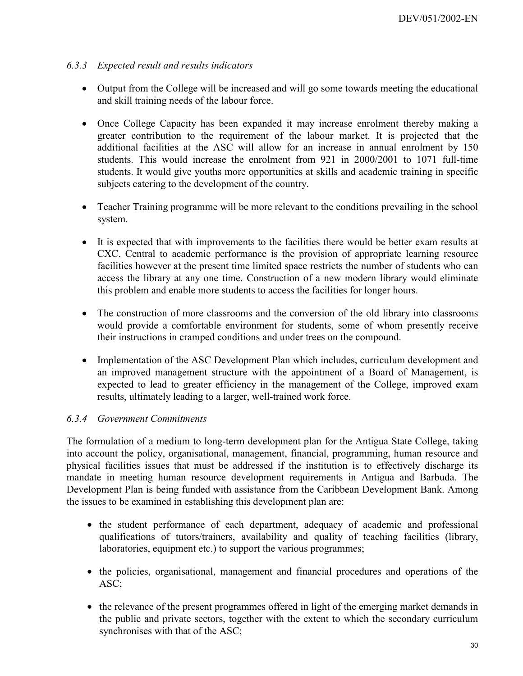#### *6.3.3 Expected result and results indicators*

- <span id="page-29-0"></span>• Output from the College will be increased and will go some towards meeting the educational and skill training needs of the labour force.
- Once College Capacity has been expanded it may increase enrolment thereby making a greater contribution to the requirement of the labour market. It is projected that the additional facilities at the ASC will allow for an increase in annual enrolment by 150 students. This would increase the enrolment from 921 in 2000/2001 to 1071 full-time students. It would give youths more opportunities at skills and academic training in specific subjects catering to the development of the country.
- Teacher Training programme will be more relevant to the conditions prevailing in the school system.
- It is expected that with improvements to the facilities there would be better exam results at CXC. Central to academic performance is the provision of appropriate learning resource facilities however at the present time limited space restricts the number of students who can access the library at any one time. Construction of a new modern library would eliminate this problem and enable more students to access the facilities for longer hours.
- The construction of more classrooms and the conversion of the old library into classrooms would provide a comfortable environment for students, some of whom presently receive their instructions in cramped conditions and under trees on the compound.
- Implementation of the ASC Development Plan which includes, curriculum development and an improved management structure with the appointment of a Board of Management, is expected to lead to greater efficiency in the management of the College, improved exam results, ultimately leading to a larger, well-trained work force.

#### <span id="page-29-1"></span>*6.3.4 Government Commitments*

The formulation of a medium to long-term development plan for the Antigua State College, taking into account the policy, organisational, management, financial, programming, human resource and physical facilities issues that must be addressed if the institution is to effectively discharge its mandate in meeting human resource development requirements in Antigua and Barbuda. The Development Plan is being funded with assistance from the Caribbean Development Bank. Among the issues to be examined in establishing this development plan are:

- the student performance of each department, adequacy of academic and professional qualifications of tutors/trainers, availability and quality of teaching facilities (library, laboratories, equipment etc.) to support the various programmes;
- the policies, organisational, management and financial procedures and operations of the ASC;
- the relevance of the present programmes offered in light of the emerging market demands in the public and private sectors, together with the extent to which the secondary curriculum synchronises with that of the ASC;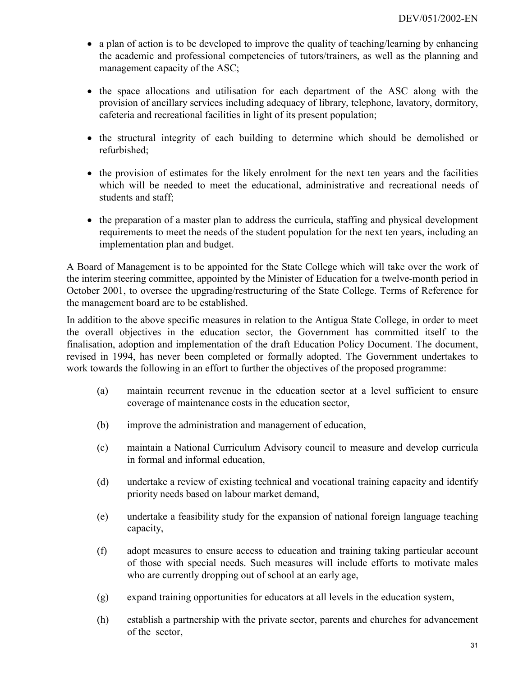- a plan of action is to be developed to improve the quality of teaching/learning by enhancing the academic and professional competencies of tutors/trainers, as well as the planning and management capacity of the ASC;
- the space allocations and utilisation for each department of the ASC along with the provision of ancillary services including adequacy of library, telephone, lavatory, dormitory, cafeteria and recreational facilities in light of its present population;
- the structural integrity of each building to determine which should be demolished or refurbished;
- the provision of estimates for the likely enrolment for the next ten years and the facilities which will be needed to meet the educational, administrative and recreational needs of students and staff;
- the preparation of a master plan to address the curricula, staffing and physical development requirements to meet the needs of the student population for the next ten years, including an implementation plan and budget.

A Board of Management is to be appointed for the State College which will take over the work of the interim steering committee, appointed by the Minister of Education for a twelve-month period in October 2001, to oversee the upgrading/restructuring of the State College. Terms of Reference for the management board are to be established.

In addition to the above specific measures in relation to the Antigua State College, in order to meet the overall objectives in the education sector, the Government has committed itself to the finalisation, adoption and implementation of the draft Education Policy Document. The document, revised in 1994, has never been completed or formally adopted. The Government undertakes to work towards the following in an effort to further the objectives of the proposed programme:

- (a) maintain recurrent revenue in the education sector at a level sufficient to ensure coverage of maintenance costs in the education sector,
- (b) improve the administration and management of education,
- (c) maintain a National Curriculum Advisory council to measure and develop curricula in formal and informal education,
- (d) undertake a review of existing technical and vocational training capacity and identify priority needs based on labour market demand,
- (e) undertake a feasibility study for the expansion of national foreign language teaching capacity,
- (f) adopt measures to ensure access to education and training taking particular account of those with special needs. Such measures will include efforts to motivate males who are currently dropping out of school at an early age,
- (g) expand training opportunities for educators at all levels in the education system,
- (h) establish a partnership with the private sector, parents and churches for advancement of the sector,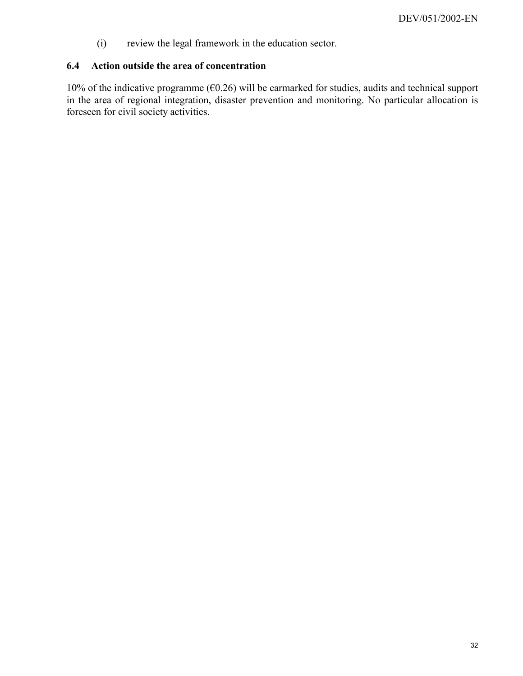<span id="page-31-0"></span>(i) review the legal framework in the education sector.

# **6.4 Action outside the area of concentration**

10% of the indicative programme (€0.26) will be earmarked for studies, audits and technical support in the area of regional integration, disaster prevention and monitoring. No particular allocation is foreseen for civil society activities.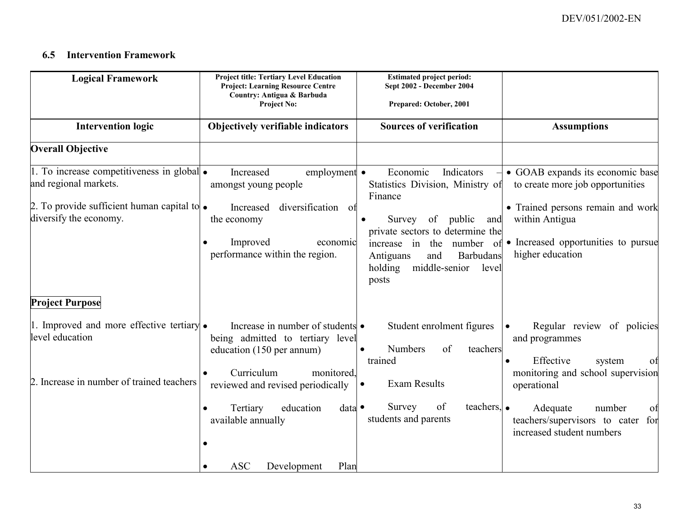#### **6.5 Intervention Framework**

<span id="page-32-0"></span>

| <b>Logical Framework</b>                                                                                                                                                               | <b>Project title: Tertiary Level Education</b><br><b>Project: Learning Resource Centre</b><br>Country: Antigua & Barbuda<br><b>Project No:</b>                                                                                                                 | <b>Estimated project period:</b><br>Sept 2002 - December 2004<br>Prepared: October, 2001                                                                                                                                                                  |                                                                                                                                                                                                                             |  |  |
|----------------------------------------------------------------------------------------------------------------------------------------------------------------------------------------|----------------------------------------------------------------------------------------------------------------------------------------------------------------------------------------------------------------------------------------------------------------|-----------------------------------------------------------------------------------------------------------------------------------------------------------------------------------------------------------------------------------------------------------|-----------------------------------------------------------------------------------------------------------------------------------------------------------------------------------------------------------------------------|--|--|
| <b>Intervention logic</b>                                                                                                                                                              | Objectively verifiable indicators                                                                                                                                                                                                                              | <b>Sources of verification</b>                                                                                                                                                                                                                            | <b>Assumptions</b>                                                                                                                                                                                                          |  |  |
| <b>Overall Objective</b>                                                                                                                                                               |                                                                                                                                                                                                                                                                |                                                                                                                                                                                                                                                           |                                                                                                                                                                                                                             |  |  |
| 1. To increase competitiveness in global $\bullet$<br>and regional markets.<br>2. To provide sufficient human capital to $\bullet$<br>diversify the economy.<br><b>Project Purpose</b> | employment $\bullet$<br>Increased<br>amongst young people<br>diversification of<br>Increased<br>the economy<br>Improved<br>economic<br>performance within the region.                                                                                          | Economic<br>Indicators<br>Statistics Division, Ministry of<br>Finance<br>Survey<br>of public<br>and<br>private sectors to determine the<br>increase in the<br>number<br>of<br>Barbudans<br>Antiguans<br>and<br>middle-senior<br>holding<br>level<br>posts | • GOAB expands its economic base<br>to create more job opportunities<br>• Trained persons remain and work<br>within Antigua<br>• Increased opportunities to pursue<br>higher education                                      |  |  |
| 1. Improved and more effective tertiary $\bullet$<br>level education<br>Increase in number of trained teachers                                                                         | Increase in number of students •<br>being admitted to tertiary level<br>education (150 per annum)<br>Curriculum<br>monitored,<br>reviewed and revised periodically<br>Tertiary<br>education<br>data<br>available annually<br><b>ASC</b><br>Development<br>Plan | Student enrolment figures<br><b>Numbers</b><br>of<br>teachers<br>$\bullet$<br>trained<br><b>Exam Results</b><br>$\bullet$<br>teachers, $\bullet$<br>Survey<br>of<br>students and parents                                                                  | Regular review of policies<br>and programmes<br>Effective<br>system<br>ΟÌ<br>monitoring and school supervision<br>operational<br>Adequate<br>number<br>of<br>teachers/supervisors to cater for<br>increased student numbers |  |  |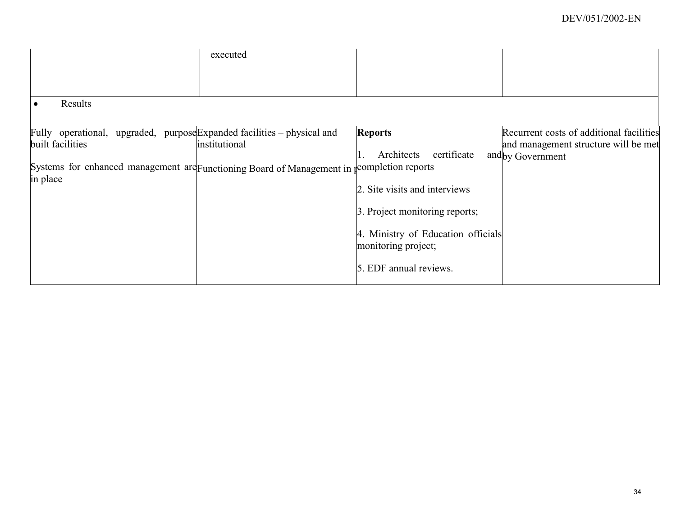|                                                                                             | executed      |                                                           |                                          |
|---------------------------------------------------------------------------------------------|---------------|-----------------------------------------------------------|------------------------------------------|
|                                                                                             |               |                                                           |                                          |
| Results<br>$\bullet$                                                                        |               |                                                           |                                          |
| Fully operational, upgraded, purpose Expanded facilities – physical and                     |               | <b>Reports</b>                                            | Recurrent costs of additional facilities |
| built facilities                                                                            | institutional |                                                           | and management structure will be met     |
|                                                                                             |               | Architects<br>certificate                                 | and by Government                        |
| Systems for enhanced management are Functioning Board of Management in recompletion reports |               |                                                           |                                          |
| in place                                                                                    |               | 2. Site visits and interviews                             |                                          |
|                                                                                             |               | 3. Project monitoring reports;                            |                                          |
|                                                                                             |               | 4. Ministry of Education officials<br>monitoring project; |                                          |
|                                                                                             |               | 5. EDF annual reviews.                                    |                                          |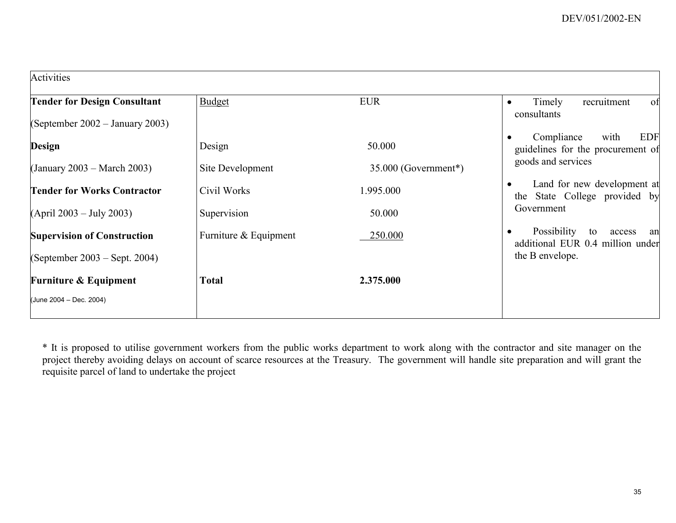| Activities                                                             |                       |                      |                                                                                          |
|------------------------------------------------------------------------|-----------------------|----------------------|------------------------------------------------------------------------------------------|
| <b>Tender for Design Consultant</b><br>(September 2002 – January 2003) | <b>Budget</b>         | <b>EUR</b>           | Timely<br>recruitment<br>of<br>$\bullet$<br>consultants                                  |
| Design                                                                 | Design                | 50.000               | Compliance<br><b>EDF</b><br>with<br>guidelines for the procurement of                    |
| (January 2003 – March 2003)                                            | Site Development      | 35.000 (Government*) | goods and services                                                                       |
| <b>Tender for Works Contractor</b>                                     | Civil Works           | 1.995.000            | Land for new development at<br>the State College provided by                             |
| (Apri1 2003 – July 2003)                                               | Supervision           | 50.000               | Government                                                                               |
| <b>Supervision of Construction</b><br>(September 2003 – Sept. 2004)    | Furniture & Equipment | 250.000              | Possibility<br>to<br>access<br>an<br>additional EUR 0.4 million under<br>the B envelope. |
| <b>Furniture &amp; Equipment</b>                                       | Total                 | 2.375.000            |                                                                                          |
| (June 2004 - Dec. 2004)                                                |                       |                      |                                                                                          |

\* It is proposed to utilise government workers from the public works department to work along with the contractor and site manager on the project thereby avoiding delays on account of scarce resources at the Treasury. The government will handle site preparation and will grant the requisite parcel of land to undertake the project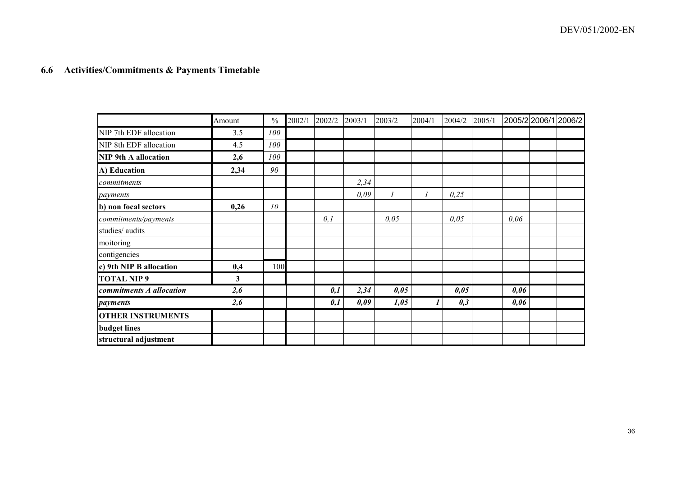#### **6.6 Activities/Commitments & Payments Timetable**

<span id="page-35-0"></span>

|                             | Amount | $\frac{0}{0}$ | 2002/1 | 2002/2 | 2003/1 | 2003/2 | 2004/1 | 2004/2 | 2005/1 |      | 2005/22006/12006/2 |
|-----------------------------|--------|---------------|--------|--------|--------|--------|--------|--------|--------|------|--------------------|
| NIP 7th EDF allocation      | 3.5    | 100           |        |        |        |        |        |        |        |      |                    |
| NIP 8th EDF allocation      | 4.5    | 100           |        |        |        |        |        |        |        |      |                    |
| <b>NIP 9th A allocation</b> | 2,6    | 100           |        |        |        |        |        |        |        |      |                    |
| A) Education                | 2,34   | 90            |        |        |        |        |        |        |        |      |                    |
| commitments                 |        |               |        |        | 2,34   |        |        |        |        |      |                    |
| payments                    |        |               |        |        | 0,09   |        |        | 0,25   |        |      |                    |
| b) non focal sectors        | 0,26   | 10            |        |        |        |        |        |        |        |      |                    |
| commitments/payments        |        |               |        | 0,1    |        | 0,05   |        | 0,05   |        | 0,06 |                    |
| studies/ audits             |        |               |        |        |        |        |        |        |        |      |                    |
| moitoring                   |        |               |        |        |        |        |        |        |        |      |                    |
| contigencies                |        |               |        |        |        |        |        |        |        |      |                    |
| c) 9th NIP B allocation     | 0,4    | 100           |        |        |        |        |        |        |        |      |                    |
| <b>TOTAL NIP 9</b>          | 3      |               |        |        |        |        |        |        |        |      |                    |
| commitments A allocation    | 2,6    |               |        | 0,1    | 2,34   | 0,05   |        | 0,05   |        | 0,06 |                    |
| payments                    | 2,6    |               |        | 0,1    | 0,09   | 1,05   |        | 0,3    |        | 0,06 |                    |
| <b>OTHER INSTRUMENTS</b>    |        |               |        |        |        |        |        |        |        |      |                    |
| <b>budget</b> lines         |        |               |        |        |        |        |        |        |        |      |                    |
| structural adjustment       |        |               |        |        |        |        |        |        |        |      |                    |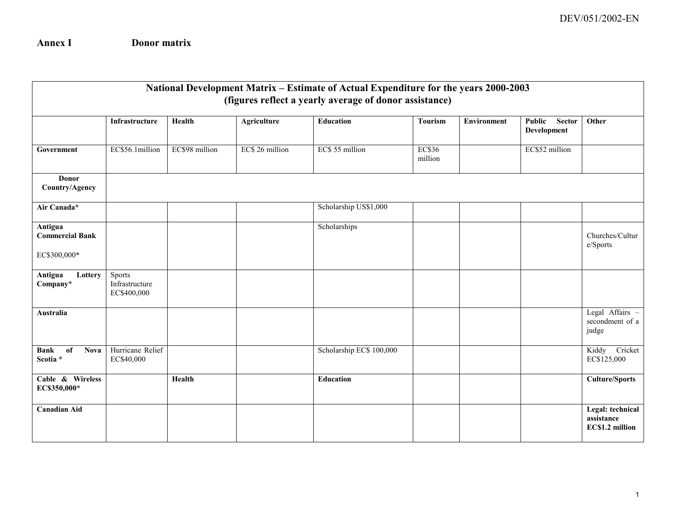**Annex I Donor matrix**

|                                                   | National Development Matrix - Estimate of Actual Expenditure for the years 2000-2003<br>(figures reflect a yearly average of donor assistance) |                |                    |                          |                          |                    |                                               |                                                   |  |  |  |  |
|---------------------------------------------------|------------------------------------------------------------------------------------------------------------------------------------------------|----------------|--------------------|--------------------------|--------------------------|--------------------|-----------------------------------------------|---------------------------------------------------|--|--|--|--|
|                                                   | Infrastructure                                                                                                                                 | Health         | <b>Agriculture</b> | <b>Education</b>         | <b>Tourism</b>           | <b>Environment</b> | Public<br><b>Sector</b><br><b>Development</b> | Other                                             |  |  |  |  |
| Government                                        | EC\$56.1million                                                                                                                                | EC\$98 million | EC\$ 26 million    | EC\$ 55 million          | <b>EC\$36</b><br>million |                    | EC\$52 million                                |                                                   |  |  |  |  |
| Donor<br>Country/Agency                           |                                                                                                                                                |                |                    |                          |                          |                    |                                               |                                                   |  |  |  |  |
| Air Canada*                                       |                                                                                                                                                |                |                    | Scholarship US\$1,000    |                          |                    |                                               |                                                   |  |  |  |  |
| Antigua<br><b>Commercial Bank</b><br>EC\$300,000* |                                                                                                                                                |                |                    | Scholarships             |                          |                    |                                               | Churches/Cultur<br>e/Sports                       |  |  |  |  |
| Antigua<br>Lottery<br>Company*                    | Sports<br>Infrastructure<br>EC\$400,000                                                                                                        |                |                    |                          |                          |                    |                                               |                                                   |  |  |  |  |
| <b>Australia</b>                                  |                                                                                                                                                |                |                    |                          |                          |                    |                                               | Legal Affairs -<br>secondment of a<br>judge       |  |  |  |  |
| <b>Bank</b><br>of<br><b>Nova</b><br>Scotia *      | Hurricane Relief<br>EC\$40,000                                                                                                                 |                |                    | Scholarship EC\$ 100,000 |                          |                    |                                               | Kiddy Cricket<br>EC\$125,000                      |  |  |  |  |
| Cable & Wireless<br>EC\$350,000*                  |                                                                                                                                                | Health         |                    | <b>Education</b>         |                          |                    |                                               | <b>Culture/Sports</b>                             |  |  |  |  |
| <b>Canadian Aid</b>                               |                                                                                                                                                |                |                    |                          |                          |                    |                                               | Legal: technical<br>assistance<br>EC\$1.2 million |  |  |  |  |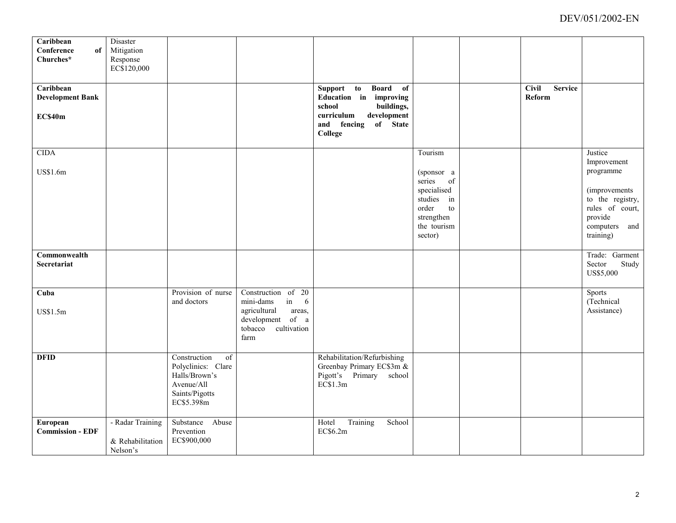| Caribbean<br>Conference<br>of<br>Churches* | Disaster<br>Mitigation<br>Response<br>EC\$120,000 |                                                                                                                      |                                                                                                                            |                                                                                                 |                                                                                                                           |                                          |                                                                                                                                       |
|--------------------------------------------|---------------------------------------------------|----------------------------------------------------------------------------------------------------------------------|----------------------------------------------------------------------------------------------------------------------------|-------------------------------------------------------------------------------------------------|---------------------------------------------------------------------------------------------------------------------------|------------------------------------------|---------------------------------------------------------------------------------------------------------------------------------------|
| Caribbean<br><b>Development Bank</b>       |                                                   |                                                                                                                      |                                                                                                                            | Board of<br>Support to<br>Education in improving<br>buildings,<br>school                        |                                                                                                                           | <b>Service</b><br><b>Civil</b><br>Reform |                                                                                                                                       |
| EC\$40m                                    |                                                   |                                                                                                                      |                                                                                                                            | development<br>curriculum<br>of State<br>and fencing<br>College                                 |                                                                                                                           |                                          |                                                                                                                                       |
| CIDA<br>US\$1.6m                           |                                                   |                                                                                                                      |                                                                                                                            |                                                                                                 | Tourism<br>(sponsor a<br>series<br>of<br>specialised<br>studies in<br>order<br>to<br>strengthen<br>the tourism<br>sector) |                                          | Justice<br>Improvement<br>programme<br>(improvements)<br>to the registry,<br>rules of court,<br>provide<br>computers and<br>training) |
| Commonwealth<br><b>Secretariat</b>         |                                                   |                                                                                                                      |                                                                                                                            |                                                                                                 |                                                                                                                           |                                          | Trade: Garment<br>Sector<br>Study<br>US\$5,000                                                                                        |
| Cuba<br>US\$1.5m                           |                                                   | Provision of nurse<br>and doctors                                                                                    | Construction of 20<br>mini-dams<br>in<br>6<br>agricultural<br>areas,<br>development of a<br>cultivation<br>tobacco<br>farm |                                                                                                 |                                                                                                                           |                                          | Sports<br>(Technical<br>Assistance)                                                                                                   |
| <b>DFID</b>                                |                                                   | Construction<br>$\overline{of}$<br>Polyclinics: Clare<br>Halls/Brown's<br>Avenue/All<br>Saints/Pigotts<br>EC\$5.398m |                                                                                                                            | Rehabilitation/Refurbishing<br>Greenbay Primary EC\$3m &<br>Pigott's Primary school<br>EC\$1.3m |                                                                                                                           |                                          |                                                                                                                                       |
| European<br><b>Commission - EDF</b>        | - Radar Training<br>& Rehabilitation<br>Nelson's  | Substance Abuse<br>Prevention<br>EC\$900,000                                                                         |                                                                                                                            | Training<br>School<br>Hotel<br>EC\$6.2m                                                         |                                                                                                                           |                                          |                                                                                                                                       |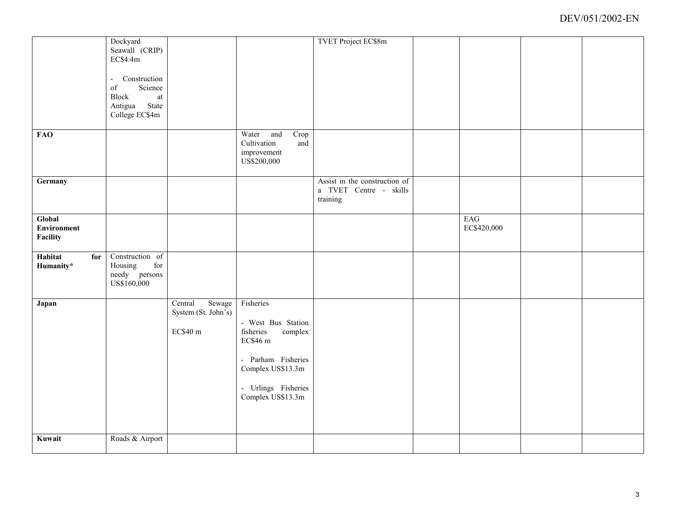|                    | Dockyard                                                                                                      |                     |                      | <b>TVET Project EC\$8m</b>    |             |  |
|--------------------|---------------------------------------------------------------------------------------------------------------|---------------------|----------------------|-------------------------------|-------------|--|
|                    | Seawall (CRIP)                                                                                                |                     |                      |                               |             |  |
|                    | EC\$4.4m                                                                                                      |                     |                      |                               |             |  |
|                    |                                                                                                               |                     |                      |                               |             |  |
|                    | Construction<br>$\overline{\phantom{a}}$                                                                      |                     |                      |                               |             |  |
|                    | Science<br>$% \left( \left( \mathcal{A},\mathcal{A}\right) \right) =\left( \mathcal{A},\mathcal{A}\right)$ of |                     |                      |                               |             |  |
|                    | Block<br>$\,$ at                                                                                              |                     |                      |                               |             |  |
|                    | Antigua State<br>College EC\$4m                                                                               |                     |                      |                               |             |  |
|                    |                                                                                                               |                     |                      |                               |             |  |
| <b>FAO</b>         |                                                                                                               |                     | Water<br>Crop<br>and |                               |             |  |
|                    |                                                                                                               |                     | Cultivation<br>and   |                               |             |  |
|                    |                                                                                                               |                     | improvement          |                               |             |  |
|                    |                                                                                                               |                     | US\$200,000          |                               |             |  |
|                    |                                                                                                               |                     |                      |                               |             |  |
| Germany            |                                                                                                               |                     |                      | Assist in the construction of |             |  |
|                    |                                                                                                               |                     |                      | a TVET Centre - skills        |             |  |
|                    |                                                                                                               |                     |                      | training                      |             |  |
|                    |                                                                                                               |                     |                      |                               |             |  |
| Global             |                                                                                                               |                     |                      |                               | EAG         |  |
| <b>Environment</b> |                                                                                                               |                     |                      |                               | EC\$420,000 |  |
| Facility           |                                                                                                               |                     |                      |                               |             |  |
|                    |                                                                                                               |                     |                      |                               |             |  |
| Habitat<br>for     | Construction of                                                                                               |                     |                      |                               |             |  |
| Humanity*          | Housing<br>$\operatorname{for}$                                                                               |                     |                      |                               |             |  |
|                    | needy persons<br>US\$160,000                                                                                  |                     |                      |                               |             |  |
|                    |                                                                                                               |                     |                      |                               |             |  |
| Japan              |                                                                                                               | Sewage<br>Central   | Fisheries            |                               |             |  |
|                    |                                                                                                               | System (St. John's) |                      |                               |             |  |
|                    |                                                                                                               |                     | - West Bus Station   |                               |             |  |
|                    |                                                                                                               | EC\$40 m            | fisheries<br>complex |                               |             |  |
|                    |                                                                                                               |                     | EC\$46 m             |                               |             |  |
|                    |                                                                                                               |                     |                      |                               |             |  |
|                    |                                                                                                               |                     | - Parham Fisheries   |                               |             |  |
|                    |                                                                                                               |                     | Complex US\$13.3m    |                               |             |  |
|                    |                                                                                                               |                     |                      |                               |             |  |
|                    |                                                                                                               |                     | - Urlings Fisheries  |                               |             |  |
|                    |                                                                                                               |                     | Complex US\$13.3m    |                               |             |  |
|                    |                                                                                                               |                     |                      |                               |             |  |
|                    |                                                                                                               |                     |                      |                               |             |  |
|                    |                                                                                                               |                     |                      |                               |             |  |
| Kuwait             | Roads & Airport                                                                                               |                     |                      |                               |             |  |
|                    |                                                                                                               |                     |                      |                               |             |  |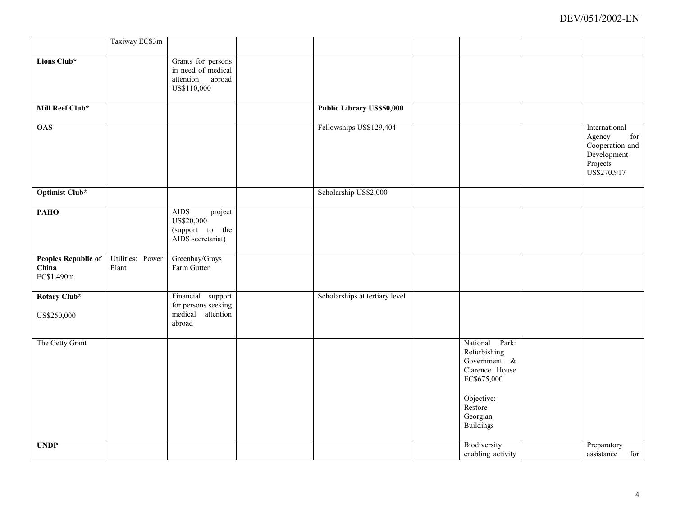|                                                   | Taxiway EC\$3m            |                                                                              |                                |                                                                                                                                          |                                                                                             |
|---------------------------------------------------|---------------------------|------------------------------------------------------------------------------|--------------------------------|------------------------------------------------------------------------------------------------------------------------------------------|---------------------------------------------------------------------------------------------|
| Lions Club*                                       |                           | Grants for persons<br>in need of medical<br>attention abroad<br>US\$110,000  |                                |                                                                                                                                          |                                                                                             |
| Mill Reef Club*                                   |                           |                                                                              | Public Library US\$50,000      |                                                                                                                                          |                                                                                             |
| <b>OAS</b>                                        |                           |                                                                              | Fellowships US\$129,404        |                                                                                                                                          | International<br>for<br>Agency<br>Cooperation and<br>Development<br>Projects<br>US\$270,917 |
| <b>Optimist Club*</b>                             |                           |                                                                              | Scholarship US\$2,000          |                                                                                                                                          |                                                                                             |
| <b>PAHO</b>                                       |                           | <b>AIDS</b><br>project<br>US\$20,000<br>(support to the<br>AIDS secretariat) |                                |                                                                                                                                          |                                                                                             |
| <b>Peoples Republic of</b><br>China<br>EC\$1.490m | Utilities: Power<br>Plant | Greenbay/Grays<br>Farm Gutter                                                |                                |                                                                                                                                          |                                                                                             |
| Rotary Club*<br>US\$250,000                       |                           | Financial support<br>for persons seeking<br>medical<br>attention<br>abroad   | Scholarships at tertiary level |                                                                                                                                          |                                                                                             |
| The Getty Grant                                   |                           |                                                                              |                                | National Park:<br>Refurbishing<br>Government &<br>Clarence House<br>EC\$675,000<br>Objective:<br>Restore<br>Georgian<br><b>Buildings</b> |                                                                                             |
| <b>UNDP</b>                                       |                           |                                                                              |                                | Biodiversity<br>enabling activity                                                                                                        | Preparatory<br>for<br>assistance                                                            |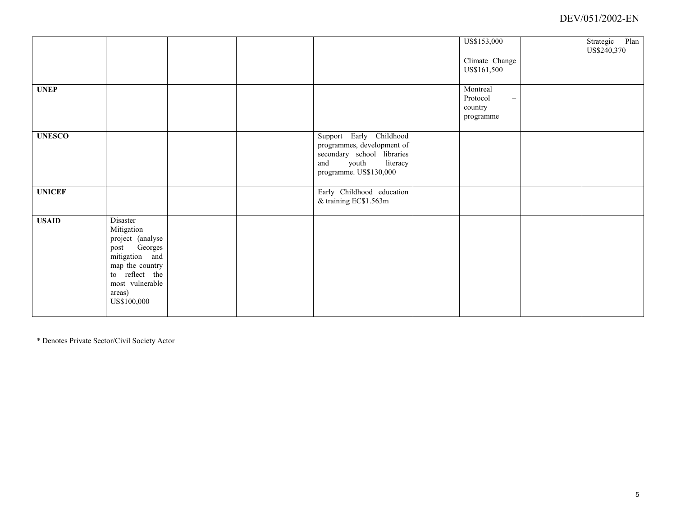|               |                                                                                                                                                               |  |                                                                                                                                           | US\$153,000<br>Climate Change<br>US\$161,500                             | Strategic Plan<br>US\$240,370 |
|---------------|---------------------------------------------------------------------------------------------------------------------------------------------------------------|--|-------------------------------------------------------------------------------------------------------------------------------------------|--------------------------------------------------------------------------|-------------------------------|
| <b>UNEP</b>   |                                                                                                                                                               |  |                                                                                                                                           | Montreal<br>Protocol<br>$\overline{\phantom{m}}$<br>country<br>programme |                               |
| <b>UNESCO</b> |                                                                                                                                                               |  | Support Early Childhood<br>programmes, development of<br>secondary school libraries<br>and<br>youth<br>literacy<br>programme. US\$130,000 |                                                                          |                               |
| <b>UNICEF</b> |                                                                                                                                                               |  | Early Childhood education<br>& training EC\$1.563m                                                                                        |                                                                          |                               |
| <b>USAID</b>  | Disaster<br>Mitigation<br>project (analyse<br>post Georges<br>mitigation and<br>map the country<br>to reflect the<br>most vulnerable<br>areas)<br>US\$100,000 |  |                                                                                                                                           |                                                                          |                               |

\* Denotes Private Sector/Civil Society Actor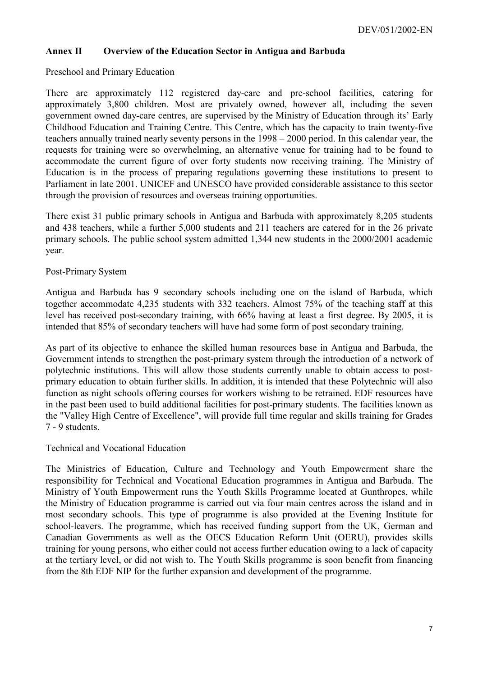#### **Annex II Overview of the Education Sector in Antigua and Barbuda**

Preschool and Primary Education

There are approximately 112 registered day-care and pre-school facilities, catering for approximately 3,800 children. Most are privately owned, however all, including the seven government owned day-care centres, are supervised by the Ministry of Education through its' Early Childhood Education and Training Centre. This Centre, which has the capacity to train twenty-five teachers annually trained nearly seventy persons in the 1998 – 2000 period. In this calendar year, the requests for training were so overwhelming, an alternative venue for training had to be found to accommodate the current figure of over forty students now receiving training. The Ministry of Education is in the process of preparing regulations governing these institutions to present to Parliament in late 2001. UNICEF and UNESCO have provided considerable assistance to this sector through the provision of resources and overseas training opportunities.

There exist 31 public primary schools in Antigua and Barbuda with approximately 8,205 students and 438 teachers, while a further 5,000 students and 211 teachers are catered for in the 26 private primary schools. The public school system admitted 1,344 new students in the 2000/2001 academic year.

#### Post-Primary System

Antigua and Barbuda has 9 secondary schools including one on the island of Barbuda, which together accommodate 4,235 students with 332 teachers. Almost 75% of the teaching staff at this level has received post-secondary training, with 66% having at least a first degree. By 2005, it is intended that 85% of secondary teachers will have had some form of post secondary training.

As part of its objective to enhance the skilled human resources base in Antigua and Barbuda, the Government intends to strengthen the post-primary system through the introduction of a network of polytechnic institutions. This will allow those students currently unable to obtain access to postprimary education to obtain further skills. In addition, it is intended that these Polytechnic will also function as night schools offering courses for workers wishing to be retrained. EDF resources have in the past been used to build additional facilities for post-primary students. The facilities known as the "Valley High Centre of Excellence", will provide full time regular and skills training for Grades 7 - 9 students.

#### Technical and Vocational Education

The Ministries of Education, Culture and Technology and Youth Empowerment share the responsibility for Technical and Vocational Education programmes in Antigua and Barbuda. The Ministry of Youth Empowerment runs the Youth Skills Programme located at Gunthropes, while the Ministry of Education programme is carried out via four main centres across the island and in most secondary schools. This type of programme is also provided at the Evening Institute for school-leavers. The programme, which has received funding support from the UK, German and Canadian Governments as well as the OECS Education Reform Unit (OERU), provides skills training for young persons, who either could not access further education owing to a lack of capacity at the tertiary level, or did not wish to. The Youth Skills programme is soon benefit from financing from the 8th EDF NIP for the further expansion and development of the programme.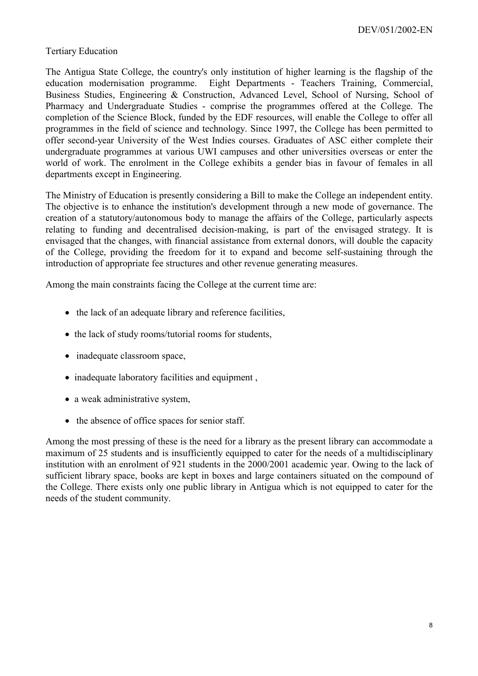#### Tertiary Education

The Antigua State College, the country's only institution of higher learning is the flagship of the education modernisation programme. Eight Departments - Teachers Training, Commercial, Business Studies, Engineering & Construction, Advanced Level, School of Nursing, School of Pharmacy and Undergraduate Studies - comprise the programmes offered at the College. The completion of the Science Block, funded by the EDF resources, will enable the College to offer all programmes in the field of science and technology. Since 1997, the College has been permitted to offer second-year University of the West Indies courses. Graduates of ASC either complete their undergraduate programmes at various UWI campuses and other universities overseas or enter the world of work. The enrolment in the College exhibits a gender bias in favour of females in all departments except in Engineering.

The Ministry of Education is presently considering a Bill to make the College an independent entity. The objective is to enhance the institution's development through a new mode of governance. The creation of a statutory/autonomous body to manage the affairs of the College, particularly aspects relating to funding and decentralised decision-making, is part of the envisaged strategy. It is envisaged that the changes, with financial assistance from external donors, will double the capacity of the College, providing the freedom for it to expand and become self-sustaining through the introduction of appropriate fee structures and other revenue generating measures.

Among the main constraints facing the College at the current time are:

- the lack of an adequate library and reference facilities,
- the lack of study rooms/tutorial rooms for students,
- inadequate classroom space,
- inadequate laboratory facilities and equipment,
- a weak administrative system,
- the absence of office spaces for senior staff.

Among the most pressing of these is the need for a library as the present library can accommodate a maximum of 25 students and is insufficiently equipped to cater for the needs of a multidisciplinary institution with an enrolment of 921 students in the 2000/2001 academic year. Owing to the lack of sufficient library space, books are kept in boxes and large containers situated on the compound of the College. There exists only one public library in Antigua which is not equipped to cater for the needs of the student community.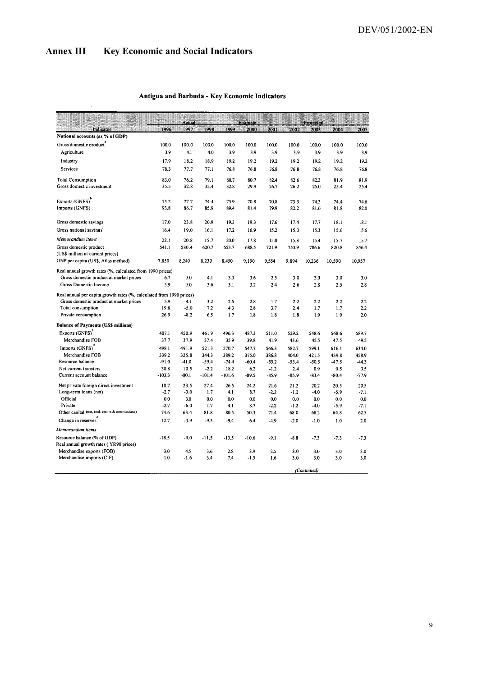# **Annex III Key Economic and Social Indicators**

 $\bar{\beta}$ 

#### Antigua and Barbuda - Key Economic Indicators

| Projected<br>Actual<br><b>Estimate</b><br>1996<br>1997<br>1999<br>Indicator<br>1998<br>2000<br>2001<br>2002<br>2003<br>2004<br>National accounts (as % of GDP)<br>Gross domestic product<br>100.0<br>100.0<br>100.0<br>100.0<br>100.0<br>100.0<br>100.0<br>100.0<br>100.0<br>Agriculture<br>3.9<br>4.1<br>4.0<br>3.9<br>3.9<br>3.9<br>3.9<br>3.9<br>3.9<br>Industry<br>17.9<br>18.2<br>18.9<br>19.2<br>19.2<br>19.2<br>19.2<br>19.2<br>19.2<br>Services<br>78.3<br>77.7<br>77.1<br>76.8<br>76.8<br>76.8<br>76.8<br>76.8<br>76.8<br><b>Total Consumption</b><br>83.0<br>79.1<br>80.7<br>82.6<br>76.2<br>80.7<br>82.4<br>82.3<br>81.9 | 2005<br>100.0<br>3.9<br>19.2<br>76.8 |
|-------------------------------------------------------------------------------------------------------------------------------------------------------------------------------------------------------------------------------------------------------------------------------------------------------------------------------------------------------------------------------------------------------------------------------------------------------------------------------------------------------------------------------------------------------------------------------------------------------------------------------------|--------------------------------------|
|                                                                                                                                                                                                                                                                                                                                                                                                                                                                                                                                                                                                                                     |                                      |
|                                                                                                                                                                                                                                                                                                                                                                                                                                                                                                                                                                                                                                     |                                      |
|                                                                                                                                                                                                                                                                                                                                                                                                                                                                                                                                                                                                                                     |                                      |
|                                                                                                                                                                                                                                                                                                                                                                                                                                                                                                                                                                                                                                     |                                      |
|                                                                                                                                                                                                                                                                                                                                                                                                                                                                                                                                                                                                                                     |                                      |
|                                                                                                                                                                                                                                                                                                                                                                                                                                                                                                                                                                                                                                     |                                      |
|                                                                                                                                                                                                                                                                                                                                                                                                                                                                                                                                                                                                                                     | 81.9                                 |
| Gross domestic investment<br>35.5<br>32.8<br>32.4<br>32.8<br>29.9<br>26.7<br>26.2<br>25.0<br>25.4                                                                                                                                                                                                                                                                                                                                                                                                                                                                                                                                   | 25.4                                 |
|                                                                                                                                                                                                                                                                                                                                                                                                                                                                                                                                                                                                                                     |                                      |
| Exports (GNFS) <sup>b</sup><br>75.2<br>77.7<br>74.4<br>75.9<br>70.8<br>70.8<br>73.3<br>74.3<br>74.4<br>Imports (GNFS)<br>93.8<br>89.4<br>82.2                                                                                                                                                                                                                                                                                                                                                                                                                                                                                       | 74.6                                 |
| 86.7<br>85.9<br>79.9<br>81.4<br>81.6<br>81.8                                                                                                                                                                                                                                                                                                                                                                                                                                                                                                                                                                                        | 82.0                                 |
| 20.9<br>Gross domestic savings<br>17.0<br>23.8<br>19.3<br>19.3<br>17.6<br>17.4<br>18.1<br>17.7                                                                                                                                                                                                                                                                                                                                                                                                                                                                                                                                      | 18.1                                 |
| Gross national savings<br>16.4<br>19.0<br>16.1<br>17.2<br>16.9<br>15.2<br>15.0<br>15.3<br>15.6                                                                                                                                                                                                                                                                                                                                                                                                                                                                                                                                      | 15.6                                 |
| Memorandum items<br>22.1<br>20.8<br>20.0<br>15.7<br>17.8<br>15.0<br>15.3<br>15.4<br>15.7                                                                                                                                                                                                                                                                                                                                                                                                                                                                                                                                            | 15.7                                 |
| Gross domestic product<br>541.1<br>580.4<br>620.7<br>653.7<br>688.5<br>721.9<br>753.9<br>786.6<br>820.8                                                                                                                                                                                                                                                                                                                                                                                                                                                                                                                             | 856.4                                |
| (US\$ million at current prices)                                                                                                                                                                                                                                                                                                                                                                                                                                                                                                                                                                                                    |                                      |
| GNP per capita (US\$, Atlas method)<br>7,850<br>8,240<br>8,230<br>8,450<br>9,190<br>9,554<br>9,894<br>10,590<br>10,957<br>10,236                                                                                                                                                                                                                                                                                                                                                                                                                                                                                                    |                                      |
| Real annual growth rates (%, calculated from 1990 prices)                                                                                                                                                                                                                                                                                                                                                                                                                                                                                                                                                                           |                                      |
| Gross domestic product at market prices<br>6.7<br>5.0<br>4.1<br>3.3<br>3.6<br>2.5<br>3.0<br>3.0<br>3.0                                                                                                                                                                                                                                                                                                                                                                                                                                                                                                                              | 3.0                                  |
| 5.9<br>Gross Domestic Income<br>5.0<br>3.6<br>3.1<br>3.2<br>2.4<br>2.6<br>2.8<br>2.5                                                                                                                                                                                                                                                                                                                                                                                                                                                                                                                                                | 2.8                                  |
| Real annual per capita growth rates (%, calculated from 1990 prices)                                                                                                                                                                                                                                                                                                                                                                                                                                                                                                                                                                |                                      |
| Gross domestic product at market prices<br>5.9<br>3.2<br>2.5<br>2.8<br>2.2<br>2.2<br>4.1<br>1.7<br>2.2                                                                                                                                                                                                                                                                                                                                                                                                                                                                                                                              | 2.2                                  |
| 19.8<br>7.2<br>2.4<br>Total consumption<br>$-5.0$<br>4.3<br>2.8<br>3.7<br>1.7<br>1.7<br>26.9<br>$-8.2$<br>6.5<br>1.9<br>1.9<br>Private consumption<br>1.7<br>1.8<br>1.8<br>1.8                                                                                                                                                                                                                                                                                                                                                                                                                                                      | 2.2<br>2.0                           |
|                                                                                                                                                                                                                                                                                                                                                                                                                                                                                                                                                                                                                                     |                                      |
| <b>Balance of Payments (US\$ millions)</b>                                                                                                                                                                                                                                                                                                                                                                                                                                                                                                                                                                                          |                                      |
| Exports (GNFS)<br>407.1<br>450.9<br>461.9<br>496.3<br>487.3<br>529.2<br>548.6<br>568.6<br>511.0                                                                                                                                                                                                                                                                                                                                                                                                                                                                                                                                     | 589.7                                |
| Merchandise FOB<br>37.7<br>37.4<br>35.9<br>37.9<br>39.8<br>41.9<br>43.6<br>45.5<br>47.5                                                                                                                                                                                                                                                                                                                                                                                                                                                                                                                                             | 49.5                                 |
| Imports (GNFS)<br>498.1<br>491.9<br>521.3<br>570.7<br>547.7<br>566.3<br>582.7<br>599.1<br>616.1                                                                                                                                                                                                                                                                                                                                                                                                                                                                                                                                     | 634.0                                |
| Merchandise FOB<br>339.2<br>389.2<br>325.8<br>344.3<br>375.0<br>386.8<br>404.0<br>421.5<br>439.8<br>Resource balance<br>$-47.5$                                                                                                                                                                                                                                                                                                                                                                                                                                                                                                     | 458.9                                |
| $-91.0$<br>$-41.0$<br>$-59.4$<br>$-74.4$<br>$-60.4$<br>$-55.2$<br>$-53.4$<br>$-50.5$<br>30.8<br>10.5<br>$-2.2$<br>18.2<br>6.2<br>$-1.2$<br>2.4<br>0.9<br>0.5<br>Net current transfers                                                                                                                                                                                                                                                                                                                                                                                                                                               | $-44.3$                              |
| Current account balance<br>$-103.3$<br>$-80.1$<br>-101.4<br>-101.6<br>$-89.5$<br>$-85.9$<br>$-85.9$<br>$-83.4$<br>$-80.4$                                                                                                                                                                                                                                                                                                                                                                                                                                                                                                           | 0.5<br>$-77.9$                       |
| Net private foreign direct investment<br>18.7<br>23.5<br>27.4<br>26.5<br>24.2<br>21.6<br>21.2<br>20.2<br>20.5                                                                                                                                                                                                                                                                                                                                                                                                                                                                                                                       | 20.5                                 |
| $-2.7$<br>$-3.0$<br>4.1<br>$-2.2$<br>Long-term loans (net)<br>1.7<br>8.7<br>$-1.2$<br>$-4.0$<br>$-5.9$                                                                                                                                                                                                                                                                                                                                                                                                                                                                                                                              | $-7.1$                               |
| Official<br>0.0<br>3.0<br>0.0<br>0.0<br>0.0<br>0.0<br>0.0<br>0.0<br>0.0                                                                                                                                                                                                                                                                                                                                                                                                                                                                                                                                                             | 0.0                                  |
| Private<br>$-2.7$<br>$-6.0$<br>1.7<br>4.1<br>$-2.2$<br>8.7<br>$-1.2$<br>$-4.0$<br>$-5.9$                                                                                                                                                                                                                                                                                                                                                                                                                                                                                                                                            | -7.1                                 |
| Other capital (net, incl. errors & ommissions)<br>74.6<br>63.4<br>81.8<br>80.5<br>50.3<br>71.4<br>68.0<br>68.2<br>64.8                                                                                                                                                                                                                                                                                                                                                                                                                                                                                                              | 62.5                                 |
| Change in reserves<br>12.7<br>$-3.9$<br>$-9.5$<br>$-9.4$<br>$-4.9$<br>6,4<br>$-2.0$<br>$-1.0$<br>1.0                                                                                                                                                                                                                                                                                                                                                                                                                                                                                                                                | 2.0                                  |
| Memorandum items                                                                                                                                                                                                                                                                                                                                                                                                                                                                                                                                                                                                                    |                                      |
| Resource balance (% of GDP)<br>$-18.5$<br>$-9.0$<br>$-11.5$<br>$-10.6$<br>$-8.8$<br>$-7.3$<br>$-13.5$<br>$-9.1$<br>$-7.3$                                                                                                                                                                                                                                                                                                                                                                                                                                                                                                           | $-7.3$                               |
| Real annual growth rates (YR90 prices)                                                                                                                                                                                                                                                                                                                                                                                                                                                                                                                                                                                              |                                      |
| Merchandise exports (FOB)<br>3.0<br>4.5<br>3.6<br>2.8<br>3.9<br>3.0<br>2.5<br>3.0<br>3.0                                                                                                                                                                                                                                                                                                                                                                                                                                                                                                                                            | 3.0                                  |
| Merchandise imports (CIF)<br>1.0<br>7.4<br>3.0<br>$-1.6$<br>3.4<br>$-1.5$<br>1.6<br>3.0<br>3.0                                                                                                                                                                                                                                                                                                                                                                                                                                                                                                                                      | 3.0                                  |
| (Continued)                                                                                                                                                                                                                                                                                                                                                                                                                                                                                                                                                                                                                         |                                      |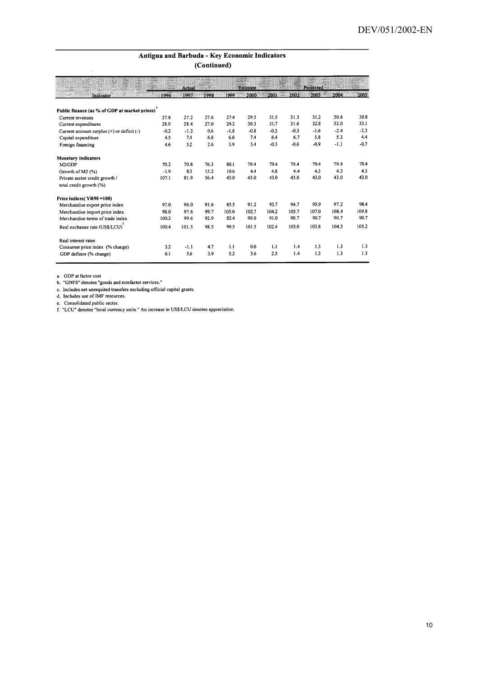#### Antigua and Barbuda - Key Economic Indicators (Continued)

|                                                |        |        | $\sqrt{2}$ |        |                 |        |        |           |        |        |
|------------------------------------------------|--------|--------|------------|--------|-----------------|--------|--------|-----------|--------|--------|
|                                                |        | Actual |            |        | <b>Estimate</b> |        |        | Projected |        |        |
| Indicator                                      | 1996   | 1997   | 1998       | 1999   | 2000            | 2001   | 2002   | 2003      | 2004   | 2005   |
| Public finance (as % of GDP at market prices)  |        |        |            |        |                 |        |        |           |        |        |
| Current revenues                               | 27.8   | 27.2   | 27.6       | 27.4   | 29.5            | 31.5   | 31.3   | 31.2      | 30.6   | 30.8   |
| Current expenditures                           | 28.0   | 28.4   | 27.0       | 29.2   | 30.3            | 31.7   | 31.6   | 32.8      | 33.0   | 33.1   |
| Current account surplus $(+)$ or deficit $(-)$ | $-0.2$ | $-1.2$ | 0.6        | $-1.8$ | $-0.8$          | $-0.2$ | $-0.3$ | $-1.6$    | $-2.4$ | $-2.3$ |
| Capital expenditure                            | 4.5    | 7.4    | 6.8        | 6.6    | 7.4             | 6.4    | 6.7    | 5.8       | 5.3    | 4.4    |
| Foreign financing                              | 4.6    | 5.2    | 2.6        | 3.9    | 3.4             | $-0.3$ | $-0.6$ | $-0.9$    | $-1.1$ | $-0.7$ |
| Monetary indicators                            |        |        |            |        |                 |        |        |           |        |        |
| M2/GDP                                         | 70.2   | 70.8   | 76.3       | 80.1   | 79.4            | 79.4   | 79.4   | 79.4      | 79.4   | 79.4   |
| Growth of M2 (%)                               | $-1.9$ | 83     | 15.2       | 10.6   | 4.4             | 4.8    | 4.4    | 4.3       | 4.3    | 4.3    |
| Private sector credit growth /                 | 107.1  | 81.9   | 56.4       | 43.0   | 43.0            | 43.0   | 43.0   | 43.0      | 43.0   | 43.0   |
| total credit growth (%)                        |        |        |            |        |                 |        |        |           |        |        |
| Price indices (YR90 = 100)                     |        |        |            |        |                 |        |        |           |        |        |
| Merchandise export price index                 | 97.0   | 96.0   | 91.6       | 85.5   | 91.2            | 93.7   | 94.7   | 95.9      | 97.2   | 98.4   |
| Merchandise import price index                 | 98.0   | 97.6   | 99.7       | 105.0  | 102.7           | 104.2  | 105.7  | 107.0     | 108.4  | 109.8  |
| Merchandise terms of trade index               | 100.2  | 99.6   | 92.9       | 82.4   | 90.0            | 91.0   | 90.7   | 90.7      | 90.7   | 90.7   |
| Real exchange rate (US\$/LCU)                  | 100.4  | 101.5  | 98.5       | 99.5   | 101.5           | 102.4  | 103.0  | 103.8     | 104.5  | 105.2  |
| Real interest rates                            |        |        |            |        |                 |        |        |           |        |        |
| Consumer price index (% change)                | 3.2    | -1.1   | 4.7        | 1.1    | 0.0             | 1.1    | 1.4    | 1.3       | 1.3    | 1.3    |
| GDP deflator (% change)                        | 6.1    | 5.6    | 3.9        | 5.2    | 3.6             | 2.5    | 1.4    | 1.3       | 1.3    | 1.3    |

a. GDP at factor cost<br>b. "GNFS" denotes "goods and nonfactor services."

b. "GNFS" denotes "goods and nontactor services."<br>
c. Includes net unrequited transfers excluding official capital grants.<br>
d. Includes use of IMF resources.<br>
e. Consolidated public sector.<br>
f. "LCU" denotes "local currenc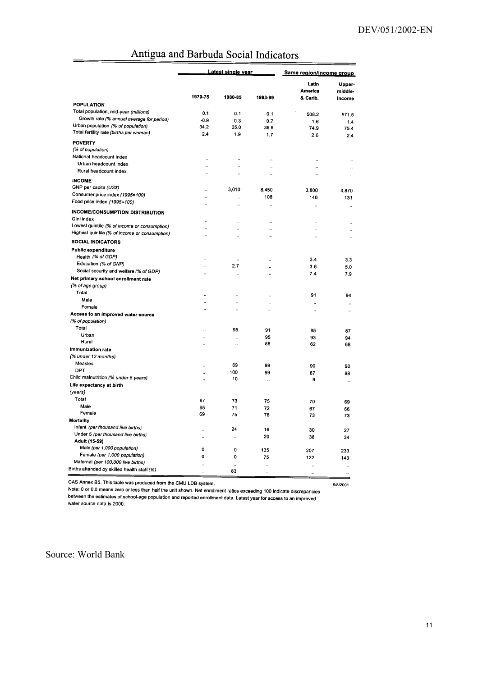|                                                      | Latest single vear   |                      |                      |                      | Same region/income group |  |  |
|------------------------------------------------------|----------------------|----------------------|----------------------|----------------------|--------------------------|--|--|
|                                                      |                      |                      |                      | Latin<br>America     | Upper-<br>middle-        |  |  |
|                                                      | 1970-75              | 1980-85              | 1993-99              | & Carib.             | income                   |  |  |
| POPULATION                                           |                      |                      |                      |                      |                          |  |  |
| Total population, mid-year (millions)                | 0.1                  | 0.1                  | 0.1                  | 508.2                | 571.5                    |  |  |
| Growth rate (% annual average for period)            | $-0.9$               | 0.3                  | 0.7                  | 1.6                  | 1.4                      |  |  |
| Urban population (% of population)                   | 34.2                 | 35.0                 | 36.6                 | 74.9                 | 75.4                     |  |  |
| Total fertility rate (births per woman)              | 2.4                  | 1.9                  | 1.7                  | 2.6                  | 2.4                      |  |  |
| <b>POVERTY</b>                                       |                      |                      |                      |                      |                          |  |  |
| (% of population)                                    |                      |                      |                      |                      |                          |  |  |
| National headcount index                             | $\ddot{\phantom{a}}$ | $\ddot{\phantom{a}}$ | ÷.                   |                      |                          |  |  |
| Urban headcount index                                | $\ddot{\phantom{a}}$ | $\ddot{\phantom{a}}$ |                      | $\ddot{\phantom{a}}$ | $\ddot{\phantom{a}}$     |  |  |
| Rural headcount index                                | $\ddot{\phantom{a}}$ |                      | $\ddot{\phantom{a}}$ | $\ddot{\phantom{a}}$ |                          |  |  |
| <b>INCOME</b>                                        |                      |                      |                      |                      |                          |  |  |
| GNP per capita (US\$)                                |                      | 3,010                | 8,450                | 3.800                |                          |  |  |
| Consumer price index (1995=100)                      |                      | $\ddot{\phantom{a}}$ | 108                  | 140                  | 4.870                    |  |  |
| Food price index (1995=100)                          | .,                   | $\ddot{\phantom{a}}$ |                      |                      | 131                      |  |  |
|                                                      |                      |                      | .,                   |                      | $\ddot{\phantom{a}}$     |  |  |
| <b>INCOME/CONSUMPTION DISTRIBUTION</b><br>Gini index |                      |                      |                      |                      |                          |  |  |
| Lowest quintile (% of income or consumption)         | $\ddot{\phantom{a}}$ | ä,                   |                      | $\ddot{\phantom{a}}$ | ä,                       |  |  |
| Highest quintile (% of income or consumption)        |                      | ä,                   | $\ddot{\phantom{a}}$ | $\ddot{\phantom{a}}$ |                          |  |  |
|                                                      |                      | $\ddot{\phantom{0}}$ | $\ddot{\phantom{1}}$ | $\ddot{\phantom{a}}$ | $\ddot{\phantom{0}}$     |  |  |
| <b>SOCIAL INDICATORS</b>                             |                      |                      |                      |                      |                          |  |  |
| <b>Public expenditure</b>                            |                      |                      |                      |                      |                          |  |  |
| Health (% of GDP)                                    | $\ddot{\phantom{1}}$ | $\ddot{\phantom{a}}$ | ä,                   | 3.4                  | 3.3                      |  |  |
| Education (% of GNP)                                 | $\ddot{\phantom{a}}$ | 2.7                  |                      | 3.6                  | 5.0                      |  |  |
| Social security and welfare (% of GDP)               | ä,                   | $\ddot{\phantom{a}}$ | ä,                   | 7.4                  | 7.9                      |  |  |
| Net primary school enrollment rate                   |                      |                      |                      |                      |                          |  |  |
| (% of age group)                                     |                      |                      |                      |                      |                          |  |  |
| Total                                                |                      | $\ddot{\phantom{0}}$ | ä,                   | 91                   | 94                       |  |  |
| Male                                                 | $\ddot{\phantom{a}}$ | ä,                   |                      | $\ddot{\phantom{a}}$ | $\ddot{\phantom{a}}$     |  |  |
| Female                                               | ä.                   |                      | .,                   | $\ddot{\phantom{a}}$ | $\ddot{\phantom{a}}$     |  |  |
| Access to an improved water source                   |                      |                      |                      |                      |                          |  |  |
| (% of population)                                    |                      |                      |                      |                      |                          |  |  |
| Total                                                | $\ddot{\phantom{a}}$ | 95                   | 91                   | 85                   | 87                       |  |  |
| Urban<br>Rural                                       | $\ddot{\phantom{0}}$ | à.                   | 95                   | 93                   | 94                       |  |  |
| Immunization rate                                    |                      |                      | 88                   | 62                   | 68                       |  |  |
| (% under 12 months)                                  |                      |                      |                      |                      |                          |  |  |
| Measles                                              |                      |                      |                      |                      |                          |  |  |
| DPT                                                  |                      | 69                   | 99                   | 90                   | 90                       |  |  |
| Child malnutrition (% under 5 years)                 | .,                   | 100                  | 99                   | 87                   | 88                       |  |  |
| Life expectancy at birth                             |                      | 10                   | $\ddotsc$            | 9                    | $\ddot{\phantom{1}}$     |  |  |
| (years)                                              |                      |                      |                      |                      |                          |  |  |
| Total                                                |                      |                      |                      |                      |                          |  |  |
| Male                                                 | 67<br>65             | 73                   | 75                   | 70                   | 69                       |  |  |
| Female                                               | 69                   | 71<br>75             | 72                   | 67                   | 66                       |  |  |
| <b>Mortality</b>                                     |                      |                      | 78                   | 73                   | 73                       |  |  |
| Infant (per thousand live births)                    |                      |                      |                      |                      |                          |  |  |
| Under 5 (per thousand live births)                   | ä.                   | 24                   | 16                   | 30                   | 27                       |  |  |
| Adult (15-59)                                        | $\ddot{\phantom{a}}$ | ä,                   | 20                   | 38                   | 34                       |  |  |
| Male (per 1,000 population)                          | 0                    | 0                    | 135                  |                      |                          |  |  |
| Female (per 1,000 population)                        | 0                    | 0                    |                      | 207                  | 233                      |  |  |
| Maternal (per 100,000 live births)                   |                      |                      | 75                   | 122                  | 143                      |  |  |
| Births attended by skilled health staff (%)          | ä.                   | <br>83               | $\ddot{\phantom{a}}$ | ä,                   | ă,                       |  |  |
|                                                      |                      |                      | $\ddot{\phantom{a}}$ |                      | $\ddotsc$                |  |  |

# Antigua and Barbuda Social Indicators

CAS Annex B5. This table was produced from the CMU LDB system.

Note: 0 or 0.0 means zero or less than half the unit shown. Net enrollment ratios exceeding 100 indicate discrepancies between the estimates of ideo that that the unit shown. Net enformed trades exceeding from indicate discrepancie<br>between the estimates of school-age population and reported enrollment data. Latest year for access to an imp water source data is 2000.

Source: World Bank

5/8/2001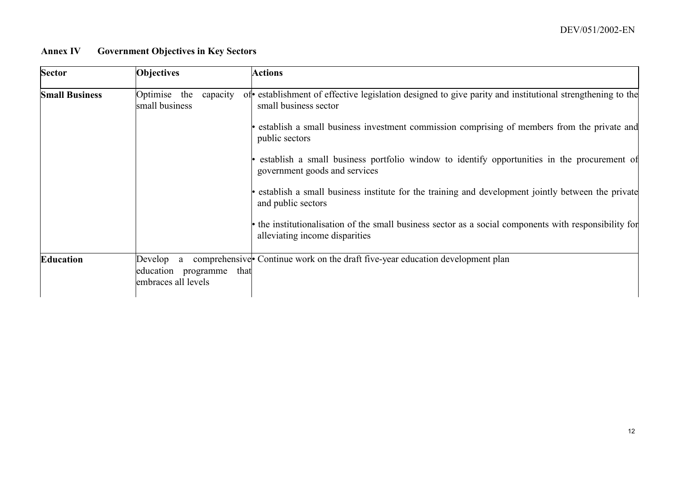# **Annex IV Government Objectives in Key Sectors**

| <b>Sector</b>         | <b>Objectives</b>                                                  | <b>Actions</b>                                                                                                                           |
|-----------------------|--------------------------------------------------------------------|------------------------------------------------------------------------------------------------------------------------------------------|
| <b>Small Business</b> | Optimise the<br>capacity<br>small business                         | of establishment of effective legislation designed to give parity and institutional strengthening to the<br>small business sector        |
|                       |                                                                    | establish a small business investment commission comprising of members from the private and<br>public sectors                            |
|                       |                                                                    | establish a small business portfolio window to identify opportunities in the procurement of<br>government goods and services             |
|                       |                                                                    | establish a small business institute for the training and development jointly between the private<br>and public sectors                  |
|                       |                                                                    | • the institutionalisation of the small business sector as a social components with responsibility for<br>alleviating income disparities |
| <b>Education</b>      | Develop a<br>education<br>programme<br>that<br>embraces all levels | comprehensive Continue work on the draft five-year education development plan                                                            |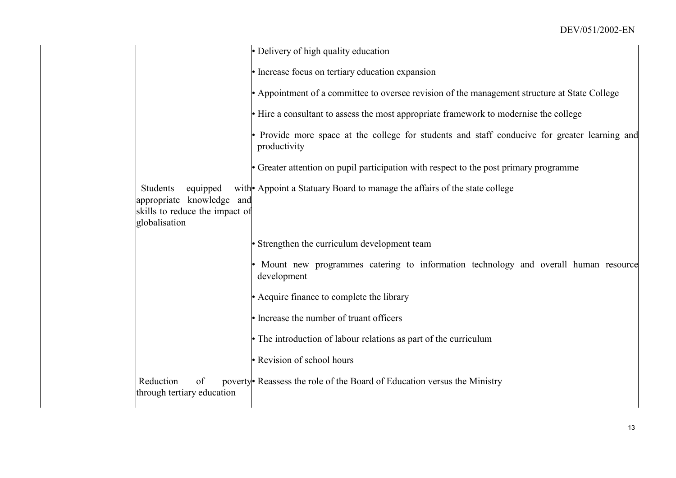|                                                                                                      | • Delivery of high quality education                                                                          |  |
|------------------------------------------------------------------------------------------------------|---------------------------------------------------------------------------------------------------------------|--|
|                                                                                                      | • Increase focus on tertiary education expansion                                                              |  |
|                                                                                                      | • Appointment of a committee to oversee revision of the management structure at State College                 |  |
|                                                                                                      | • Hire a consultant to assess the most appropriate framework to modernise the college                         |  |
|                                                                                                      | • Provide more space at the college for students and staff conducive for greater learning and<br>productivity |  |
|                                                                                                      | • Greater attention on pupil participation with respect to the post primary programme                         |  |
| Students<br>equipped<br>appropriate knowledge and<br>skills to reduce the impact of<br>globalisation | with Appoint a Statuary Board to manage the affairs of the state college                                      |  |
|                                                                                                      | • Strengthen the curriculum development team                                                                  |  |
|                                                                                                      | Mount new programmes catering to information technology and overall human resource<br>development             |  |
|                                                                                                      | • Acquire finance to complete the library                                                                     |  |
|                                                                                                      | • Increase the number of truant officers                                                                      |  |
|                                                                                                      | • The introduction of labour relations as part of the curriculum                                              |  |
|                                                                                                      | • Revision of school hours                                                                                    |  |
| Reduction<br>of<br>through tertiary education                                                        | poverty Reassess the role of the Board of Education versus the Ministry                                       |  |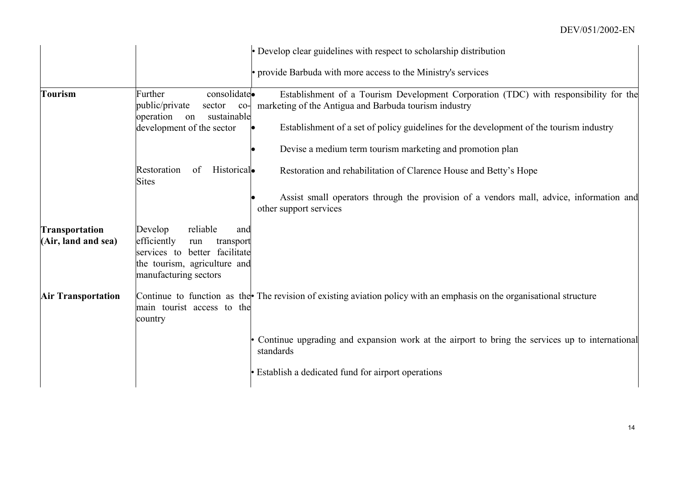|                                              |                                                                                                                                                         | • Develop clear guidelines with respect to scholarship distribution                                                                                                                                                                                                                                   |
|----------------------------------------------|---------------------------------------------------------------------------------------------------------------------------------------------------------|-------------------------------------------------------------------------------------------------------------------------------------------------------------------------------------------------------------------------------------------------------------------------------------------------------|
|                                              |                                                                                                                                                         | • provide Barbuda with more access to the Ministry's services                                                                                                                                                                                                                                         |
| <b>Tourism</b>                               | consolidate.<br>Further<br>public/private<br>sector<br>$_{\rm co}$<br>operation<br>sustainable<br>on<br>development of the sector                       | Establishment of a Tourism Development Corporation (TDC) with responsibility for the<br>marketing of the Antigua and Barbuda tourism industry<br>Establishment of a set of policy guidelines for the development of the tourism industry<br>Devise a medium term tourism marketing and promotion plan |
|                                              | Restoration<br>Historical.<br>of<br><b>Sites</b>                                                                                                        | Restoration and rehabilitation of Clarence House and Betty's Hope                                                                                                                                                                                                                                     |
|                                              |                                                                                                                                                         | Assist small operators through the provision of a vendors mall, advice, information and<br>other support services                                                                                                                                                                                     |
| <b>Transportation</b><br>(Air, land and sea) | reliable<br>Develop<br>and<br>efficiently<br>run<br>transport<br>services to better facilitate<br>the tourism, agriculture and<br>manufacturing sectors |                                                                                                                                                                                                                                                                                                       |
| <b>Air Transportation</b>                    | main tourist access to the<br>country                                                                                                                   | Continue to function as the The revision of existing aviation policy with an emphasis on the organisational structure                                                                                                                                                                                 |
|                                              |                                                                                                                                                         | Continue upgrading and expansion work at the airport to bring the services up to international<br>standards                                                                                                                                                                                           |
|                                              |                                                                                                                                                         | • Establish a dedicated fund for airport operations                                                                                                                                                                                                                                                   |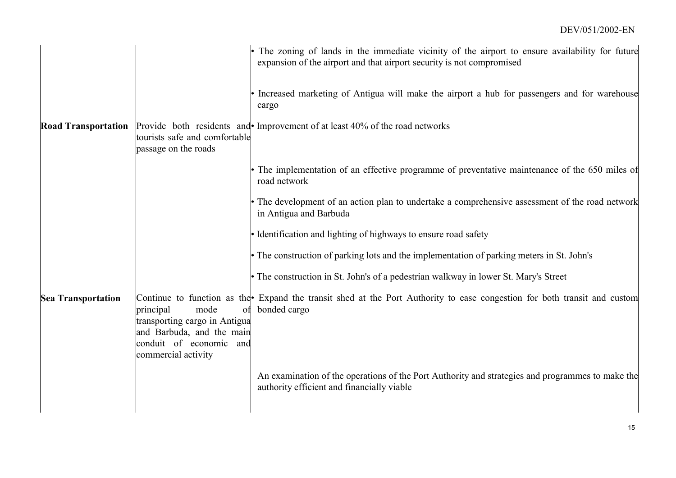|                            |                                                                                                                                            | The zoning of lands in the immediate vicinity of the airport to ensure availability for future<br>expansion of the airport and that airport security is not compromised |
|----------------------------|--------------------------------------------------------------------------------------------------------------------------------------------|-------------------------------------------------------------------------------------------------------------------------------------------------------------------------|
|                            |                                                                                                                                            | Increased marketing of Antigua will make the airport a hub for passengers and for warehouse<br>cargo                                                                    |
| <b>Road Transportation</b> | tourists safe and comfortable<br>passage on the roads                                                                                      | Provide both residents and Improvement of at least 40% of the road networks                                                                                             |
|                            |                                                                                                                                            | • The implementation of an effective programme of preventative maintenance of the 650 miles of<br>road network                                                          |
|                            |                                                                                                                                            | • The development of an action plan to undertake a comprehensive assessment of the road network<br>in Antigua and Barbuda                                               |
|                            |                                                                                                                                            | • Identification and lighting of highways to ensure road safety                                                                                                         |
|                            |                                                                                                                                            | • The construction of parking lots and the implementation of parking meters in St. John's                                                                               |
|                            |                                                                                                                                            | • The construction in St. John's of a pedestrian walkway in lower St. Mary's Street                                                                                     |
| <b>Sea Transportation</b>  | principal<br>mode<br>of<br>transporting cargo in Antigua<br>and Barbuda, and the main<br>conduit of economic<br>and<br>commercial activity | Continue to function as the Expand the transit shed at the Port Authority to ease congestion for both transit and custom<br>bonded cargo                                |
|                            |                                                                                                                                            | An examination of the operations of the Port Authority and strategies and programmes to make the<br>authority efficient and financially viable                          |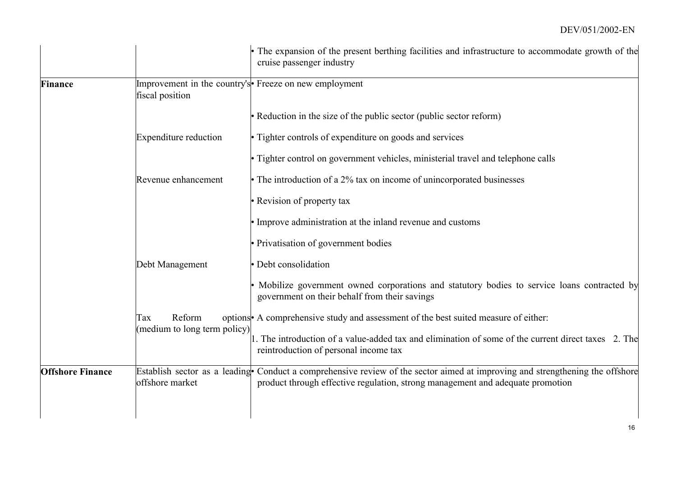|                         |                                               | The expansion of the present berthing facilities and infrastructure to accommodate growth of the<br>cruise passenger industry                                                                                  |
|-------------------------|-----------------------------------------------|----------------------------------------------------------------------------------------------------------------------------------------------------------------------------------------------------------------|
| <b>Finance</b>          | fiscal position                               | Improvement in the country's Freeze on new employment                                                                                                                                                          |
|                         |                                               | • Reduction in the size of the public sector (public sector reform)                                                                                                                                            |
|                         | <b>Expenditure reduction</b>                  | • Tighter controls of expenditure on goods and services                                                                                                                                                        |
|                         |                                               | • Tighter control on government vehicles, ministerial travel and telephone calls                                                                                                                               |
|                         | Revenue enhancement                           | • The introduction of a 2% tax on income of unincorporated businesses                                                                                                                                          |
|                         |                                               | • Revision of property tax                                                                                                                                                                                     |
|                         |                                               | • Improve administration at the inland revenue and customs                                                                                                                                                     |
|                         |                                               | • Privatisation of government bodies                                                                                                                                                                           |
|                         | Debt Management                               | · Debt consolidation                                                                                                                                                                                           |
|                         |                                               | Mobilize government owned corporations and statutory bodies to service loans contracted by<br>government on their behalf from their savings                                                                    |
|                         | Reform<br>Tax<br>(medium to long term policy) | options A comprehensive study and assessment of the best suited measure of either:                                                                                                                             |
|                         |                                               | . The introduction of a value-added tax and elimination of some of the current direct taxes 2. The<br>reintroduction of personal income tax                                                                    |
| <b>Offshore Finance</b> | offshore market                               | Establish sector as a leading Conduct a comprehensive review of the sector aimed at improving and strengthening the offshore<br>product through effective regulation, strong management and adequate promotion |
|                         |                                               |                                                                                                                                                                                                                |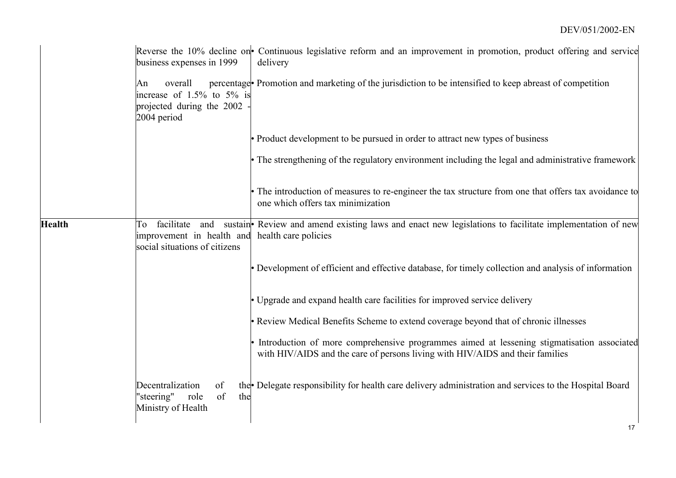|               | business expenses in 1999                                                              | Reverse the 10% decline on Continuous legislative reform and an improvement in promotion, product offering and service<br>delivery                                            |
|---------------|----------------------------------------------------------------------------------------|-------------------------------------------------------------------------------------------------------------------------------------------------------------------------------|
|               | overall<br>An<br>increase of 1.5% to 5% is<br>projected during the 2002<br>2004 period | percentage Promotion and marketing of the jurisdiction to be intensified to keep abreast of competition                                                                       |
|               |                                                                                        | • Product development to be pursued in order to attract new types of business                                                                                                 |
|               |                                                                                        | • The strengthening of the regulatory environment including the legal and administrative framework                                                                            |
|               |                                                                                        | · The introduction of measures to re-engineer the tax structure from one that offers tax avoidance to<br>one which offers tax minimization                                    |
| <b>Health</b> | To<br>improvement in health and health care policies<br>social situations of citizens  | facilitate and sustain <b>P</b> Review and amend existing laws and enact new legislations to facilitate implementation of new                                                 |
|               |                                                                                        | • Development of efficient and effective database, for timely collection and analysis of information                                                                          |
|               |                                                                                        | • Upgrade and expand health care facilities for improved service delivery                                                                                                     |
|               |                                                                                        | • Review Medical Benefits Scheme to extend coverage beyond that of chronic illnesses                                                                                          |
|               |                                                                                        | • Introduction of more comprehensive programmes aimed at lessening stigmatisation associated<br>with HIV/AIDS and the care of persons living with HIV/AIDS and their families |
|               | Decentralization<br>of<br>"steering"<br>of<br>role<br>the<br>Ministry of Health        | the Delegate responsibility for health care delivery administration and services to the Hospital Board                                                                        |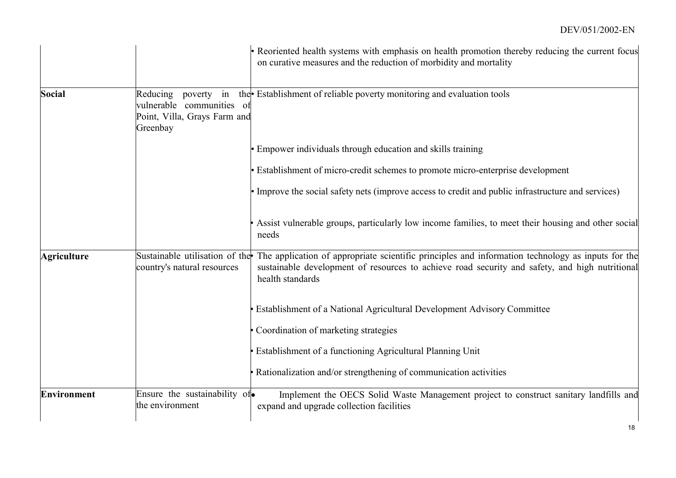|                    |                                                                                                    | • Reoriented health systems with emphasis on health promotion thereby reducing the current focus<br>on curative measures and the reduction of morbidity and mortality                                                   |
|--------------------|----------------------------------------------------------------------------------------------------|-------------------------------------------------------------------------------------------------------------------------------------------------------------------------------------------------------------------------|
| <b>Social</b>      | Reducing<br>in<br>poverty<br>vulnerable communities of<br>Point, Villa, Grays Farm and<br>Greenbay | the Establishment of reliable poverty monitoring and evaluation tools                                                                                                                                                   |
|                    |                                                                                                    | <b>Empower individuals through education and skills training</b>                                                                                                                                                        |
|                    |                                                                                                    | • Establishment of micro-credit schemes to promote micro-enterprise development                                                                                                                                         |
|                    |                                                                                                    | • Improve the social safety nets (improve access to credit and public infrastructure and services)                                                                                                                      |
|                    |                                                                                                    | Assist vulnerable groups, particularly low income families, to meet their housing and other social<br>needs                                                                                                             |
| <b>Agriculture</b> | Sustainable utilisation of the<br>country's natural resources                                      | The application of appropriate scientific principles and information technology as inputs for the<br>sustainable development of resources to achieve road security and safety, and high nutritional<br>health standards |
|                    |                                                                                                    | Establishment of a National Agricultural Development Advisory Committee                                                                                                                                                 |
|                    |                                                                                                    | Coordination of marketing strategies                                                                                                                                                                                    |
|                    |                                                                                                    | Establishment of a functioning Agricultural Planning Unit                                                                                                                                                               |
|                    |                                                                                                    | Rationalization and/or strengthening of communication activities                                                                                                                                                        |
| <b>Environment</b> | Ensure the sustainability of.<br>the environment                                                   | Implement the OECS Solid Waste Management project to construct sanitary landfills and<br>expand and upgrade collection facilities                                                                                       |